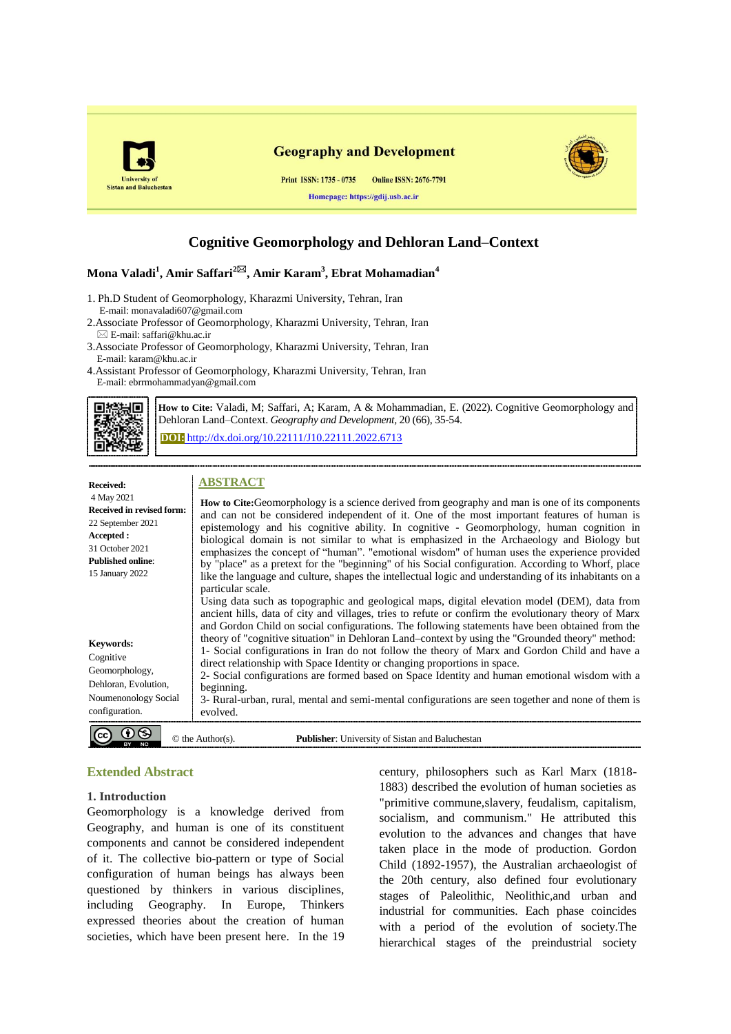

## **Geography and Development**



Print ISSN: 1735 - 0735 **Online ISSN: 2676-7791** 

Homepage: https://gdij.usb.ac.ir

## **Cognitive Geomorphology and Dehloran Land–Context**

## **Mona Valadi<sup>1</sup> , Amir Saffari<sup>2</sup>, Amir Karam<sup>3</sup> , Ebrat Mohamadian<sup>4</sup>**

- 1. Ph.D Student of Geomorphology, Kharazmi University, Tehran, Iran E-mail: monavaladi607@gmail.com
- 2.Associate Professor of Geomorphology, Kharazmi University, Tehran, Iran E-mail: saffari@khu.ac.ir
- 3.Associate Professor of Geomorphology, Kharazmi University, Tehran, Iran E-mail: karam@khu.ac.ir
- 4.Assistant Professor of Geomorphology, Kharazmi University, Tehran, Iran E-mail: ebrrmohammadyan@gmail.com



**How to Cite:** Valadi, M; Saffari, A; Karam, A & Mohammadian, E. (2022). Cognitive Geomorphology and Dehloran Land–Context. *Geography and Development,* 20 (66), 35-54. **DOI:** http://dx.doi.or[g/10.22111/J10.22111.2022.6713](https://dx.doi.org/10.22111/j10.22111.2022.6713)

| <b>Received:</b><br>4 May 2021<br><b>Received in revised form:</b><br>22 September 2021<br>Accepted :<br>31 October 2021<br><b>Published online:</b><br>15 January 2022<br><b>Keywords:</b><br>Cognitive<br>Geomorphology,<br>Dehloran, Evolution,<br>Noumenonology Social | <b>ABSTRACT</b><br>How to Cite:Geomorphology is a science derived from geography and man is one of its components<br>and can not be considered independent of it. One of the most important features of human is<br>epistemology and his cognitive ability. In cognitive - Geomorphology, human cognition in<br>biological domain is not similar to what is emphasized in the Archaeology and Biology but<br>emphasizes the concept of "human". "emotional wisdom" of human uses the experience provided<br>by "place" as a pretext for the "beginning" of his Social configuration. According to Whorf, place<br>like the language and culture, shapes the intellectual logic and understanding of its inhabitants on a<br>particular scale.<br>Using data such as topographic and geological maps, digital elevation model (DEM), data from<br>ancient hills, data of city and villages, tries to refute or confirm the evolutionary theory of Marx<br>and Gordon Child on social configurations. The following statements have been obtained from the<br>theory of "cognitive situation" in Dehloran Land-context by using the "Grounded theory" method:<br>1- Social configurations in Iran do not follow the theory of Marx and Gordon Child and have a<br>direct relationship with Space Identity or changing proportions in space.<br>2- Social configurations are formed based on Space Identity and human emotional wisdom with a<br>beginning.<br>3- Rural-urban, rural, mental and semi-mental configurations are seen together and none of them is |
|----------------------------------------------------------------------------------------------------------------------------------------------------------------------------------------------------------------------------------------------------------------------------|----------------------------------------------------------------------------------------------------------------------------------------------------------------------------------------------------------------------------------------------------------------------------------------------------------------------------------------------------------------------------------------------------------------------------------------------------------------------------------------------------------------------------------------------------------------------------------------------------------------------------------------------------------------------------------------------------------------------------------------------------------------------------------------------------------------------------------------------------------------------------------------------------------------------------------------------------------------------------------------------------------------------------------------------------------------------------------------------------------------------------------------------------------------------------------------------------------------------------------------------------------------------------------------------------------------------------------------------------------------------------------------------------------------------------------------------------------------------------------------------------------------------------------------------------------------|
| configuration.                                                                                                                                                                                                                                                             | evolved.<br>$\circledcirc$ the Author(s).<br><b>Publisher:</b> University of Sistan and Baluchestan                                                                                                                                                                                                                                                                                                                                                                                                                                                                                                                                                                                                                                                                                                                                                                                                                                                                                                                                                                                                                                                                                                                                                                                                                                                                                                                                                                                                                                                            |

### **Extended Abstract**

### **1. Introduction**

Geomorphology is a knowledge derived from Geography, and human is one of its constituent components and cannot be considered independent of it. The collective bio-pattern or type of Social configuration of human beings has always been questioned by thinkers in various disciplines, including Geography. In Europe, Thinkers expressed theories about the creation of human societies, which have been present here. In the 19 century, philosophers such as Karl Marx (1818- 1883) described the evolution of human societies as "primitive commune,slavery, feudalism, capitalism, socialism, and communism." He attributed this evolution to the advances and changes that have taken place in the mode of production. Gordon Child (1892-1957), the Australian archaeologist of the 20th century, also defined four evolutionary stages of Paleolithic, Neolithic,and urban and industrial for communities. Each phase coincides with a period of the evolution of society.The hierarchical stages of the preindustrial society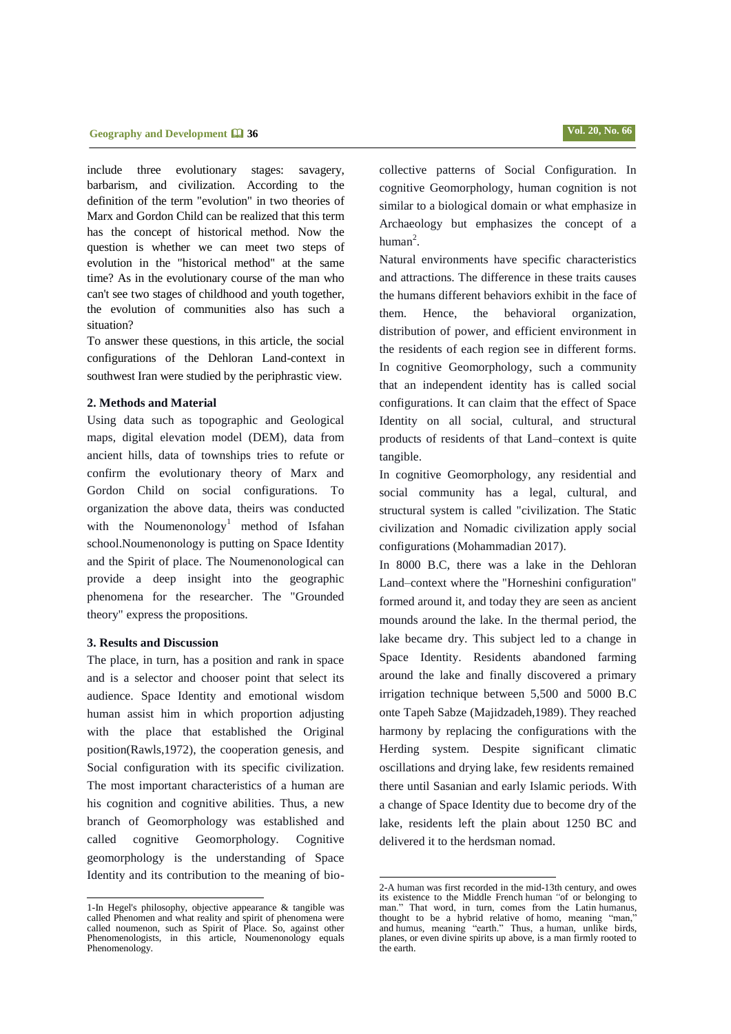include three evolutionary stages: savagery, barbarism, and civilization. According to the definition of the term "evolution" in two theories of Marx and Gordon Child can be realized that this term has the concept of historical method. Now the question is whether we can meet two steps of evolution in the "historical method" at the same time? As in the evolutionary course of the man who can't see two stages of childhood and youth together, the evolution of communities also has such a situation?

To answer these questions, in this article, the social configurations of the Dehloran Land-context in southwest Iran were studied by the periphrastic view.

#### **2. Methods and Material**

Using data such as topographic and Geological maps, digital elevation model (DEM), data from ancient hills, data of townships tries to refute or confirm the evolutionary theory of Marx and Gordon Child on social configurations. To organization the above data, theirs was conducted with the Noumenonology<sup>1</sup> method of Isfahan school.Noumenonology is putting on Space Identity and the Spirit of place. The Noumenonological can provide a deep insight into the geographic phenomena for the researcher. The "Grounded theory" express the propositions.

#### **3. Results and Discussion**

l

The place, in turn, has a position and rank in space and is a selector and chooser point that select its audience. Space Identity and emotional wisdom human assist him in which proportion adjusting with the place that established the Original position(Rawls,1972), the cooperation genesis, and Social configuration with its specific civilization. The most important characteristics of a human are his cognition and cognitive abilities. Thus, a new branch of Geomorphology was established and called cognitive Geomorphology. Cognitive geomorphology is the understanding of Space Identity and its contribution to the meaning of biocollective patterns of Social Configuration. In cognitive Geomorphology, human cognition is not similar to a biological domain or what emphasize in Archaeology but emphasizes the concept of a  $human<sup>2</sup>$ .

Natural environments have specific characteristics and attractions. The difference in these traits causes the humans different behaviors exhibit in the face of them. Hence, the behavioral organization, distribution of power, and efficient environment in the residents of each region see in different forms. In cognitive Geomorphology, such a community that an independent identity has is called social configurations. It can claim that the effect of Space Identity on all social, cultural, and structural products of residents of that Land–context is quite tangible.

In cognitive Geomorphology, any residential and social community has a legal, cultural, and structural system is called "civilization. The Static civilization and Nomadic civilization apply social configurations (Mohammadian 2017).

In 8000 B.C, there was a lake in the Dehloran Land–context where the "Horneshini configuration" formed around it, and today they are seen as ancient mounds around the lake. In the thermal period, the lake became dry. This subject led to a change in Space Identity. Residents abandoned farming around the lake and finally discovered a primary irrigation technique between 5,500 and 5000 B.C onte Tapeh Sabze (Majidzadeh,1989). They reached harmony by replacing the configurations with the Herding system. Despite significant climatic oscillations and drying lake, few residents remained there until Sasanian and early Islamic periods. With a change of Space Identity due to become dry of the lake, residents left the plain about 1250 BC and delivered it to the herdsman nomad.

-

<sup>1-</sup>In Hegel's philosophy, objective appearance & tangible was called Phenomen and what reality and spirit of phenomena were called noumenon, such as Spirit of Place. So, against other Phenomenologists, in this article, Noumenonology equals Phenomenology.

<sup>2</sup>*-*A human was first recorded in the mid-13th century, and owes its existence to the Middle French human *"*of or belonging to man." That word, in turn, comes from the Latin humanus*,* thought to be a hybrid relative of homo*,* meaning "man," and humus*,* meaning "earth." Thus, a human*,* unlike birds, planes, or even divine spirits up above, is a man firmly rooted to the earth.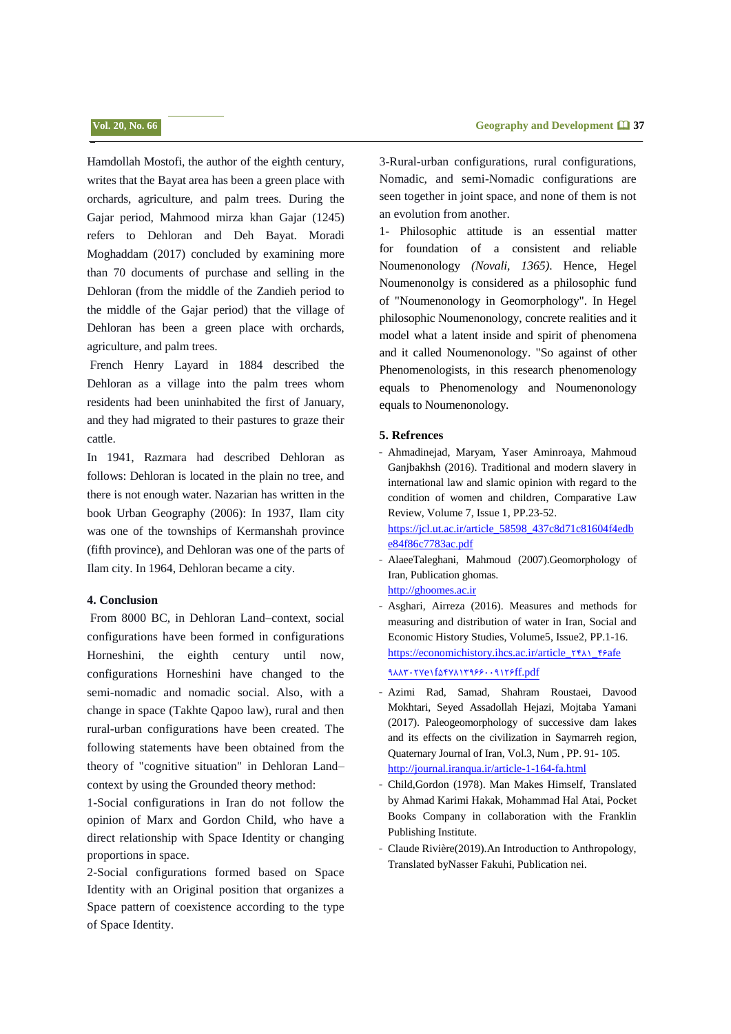Hamdollah Mostofi, the author of the eighth century, writes that the Bayat area has been a green place with orchards, agriculture, and palm trees. During the Gajar period, Mahmood mirza khan Gajar (1245) refers to Dehloran and Deh Bayat. Moradi Moghaddam (2017) concluded by examining more than 70 documents of purchase and selling in the Dehloran (from the middle of the Zandieh period to the middle of the Gajar period) that the village of Dehloran has been a green place with orchards, agriculture, and palm trees.

French Henry Layard in 1884 described the Dehloran as a village into the palm trees whom residents had been uninhabited the first of January, and they had migrated to their pastures to graze their cattle.

In 1941, Razmara had described Dehloran as follows: Dehloran is located in the plain no tree, and there is not enough water. Nazarian has written in the book Urban Geography (2006): In 1937, Ilam city was one of the townships of Kermanshah province (fifth province), and Dehloran was one of the parts of Ilam city. In 1964, Dehloran became a city.

## **4. Conclusion**

From 8000 BC, in Dehloran Land–context, social configurations have been formed in configurations Horneshini, the eighth century until now, configurations Horneshini have changed to the semi-nomadic and nomadic social. Also, with a change in space (Takhte Qapoo law), rural and then rural-urban configurations have been created. The following statements have been obtained from the theory of "cognitive situation" in Dehloran Land– context by using the Grounded theory method:

1-Social configurations in Iran do not follow the opinion of Marx and Gordon Child, who have a direct relationship with Space Identity or changing proportions in space.

2-Social configurations formed based on Space Identity with an Original position that organizes a Space pattern of coexistence according to the type of Space Identity.

3-Rural-urban configurations, rural configurations, Nomadic, and semi-Nomadic configurations are seen together in joint space, and none of them is not an evolution from another.

1- Philosophic attitude is an essential matter for foundation of a consistent and reliable Noumenonology *(Novali, 1365)*. Hence, Hegel Noumenonolgy is considered as a philosophic fund of "Noumenonology in Geomorphology". In Hegel philosophic Noumenonology, concrete realities and it model what a latent inside and spirit of phenomena and it called Noumenonology. "So against of other Phenomenologists, in this research phenomenology equals to Phenomenology and Noumenonology equals to Noumenonology.

### **5. Refrences**

- Ahmadinejad, Maryam, Yaser Aminroaya, Mahmoud Ganjbakhsh (2016). Traditional and modern slavery in international law and slamic opinion with regard to the condition of women and children, Comparative Law Review, Volume 7, Issue 1, PP.23-52. https://jcl.ut.ac.ir/article\_58598\_437c8d71c81604f4edb e84f86c7783ac.pdf
- AlaeeTaleghani, Mahmoud (2007).Geomorphology of Iran, Publication ghomas. http://ghoomes.ac.ir
- Asghari, Airreza (2016). Measures and methods for measuring and distribution of water in Iran, Social and Economic History Studies, Volume5, Issue2, PP.1-16. https://economichistory.ihcs.ac.ir/article\_1841\_82afe

 $9$  $147.789$ f $258.3979$ 

- Azimi Rad, Samad, Shahram Roustaei, Davood Mokhtari, Seyed Assadollah Hejazi, Mojtaba Yamani (2017). Paleogeomorphology of successive dam lakes and its effects on the civilization in Saymarreh region, Quaternary Journal of Iran[, Vol.3,](https://www.sid.ir/en/journal/JournalListPaper.aspx?ID=190047) Num , PP. 91- 105. <http://journal.iranqua.ir/article-1-164-fa.html>
- Child,Gordon (1978). Man Makes Himself, Translated by Ahmad Karimi Hakak, Mohammad Hal Atai, Pocket Books Company in collaboration with the Franklin Publishing Institute.
- Claude Rivière(2019).An Introduction to Anthropology, Translated byNasser Fakuhi, Publication nei.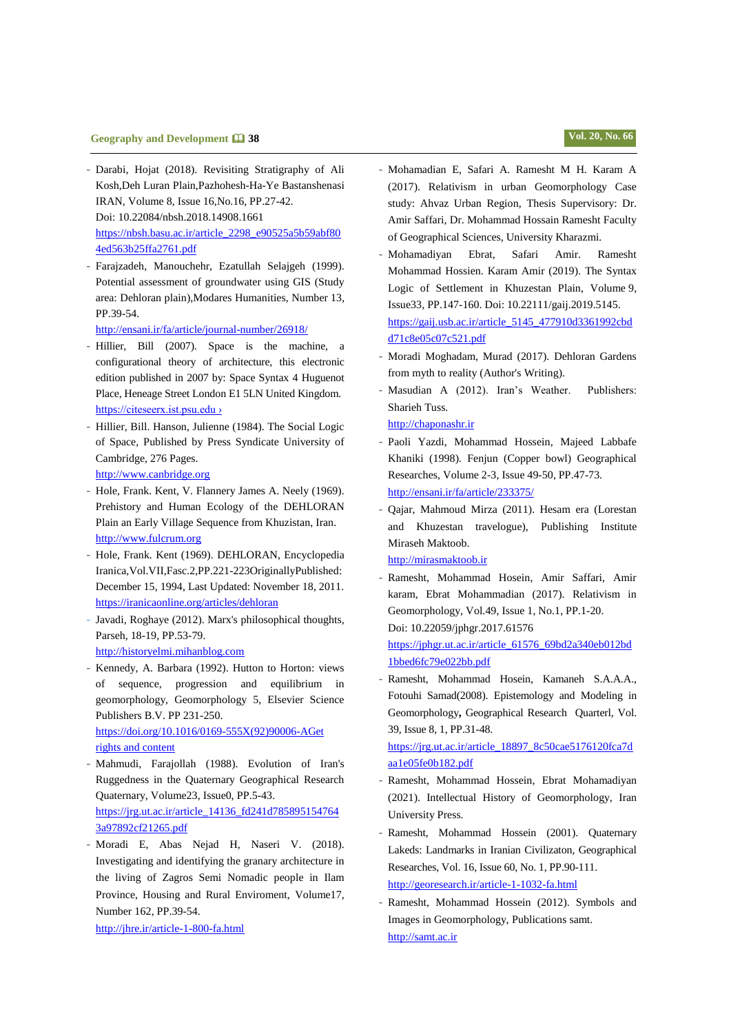## **Figure 12 Solution Security 2015 See Security 2015 Vol. 20, No. 66 Vol. 20, No. 66**

- Darabi, Hojat (2018). Revisiting Stratigraphy of Ali Kosh,Deh Luran Plain,Pazhohesh-Ha-Ye Bastanshenasi IRAN, Volume 8, Issue 16,No.16, PP.27-42. Doi: 10.22084/nbsh.2018.14908.1661 https://nbsh.basu.ac.ir/article\_2298\_e90525a5b59abf80 4ed563b25ffa2761.pdf
- Farajzadeh, Manouchehr, Ezatullah Selajgeh (1999). Potential assessment of groundwater using GIS (Study area: Dehloran plain),Modares Humanities, Number 13, PP.39-54.

<http://ensani.ir/fa/article/journal-number/26918/>

- Hillier, Bill (2007). Space is the machine, a configurational theory of architecture, this electronic edition published in 2007 by: Space Syntax 4 Huguenot Place, Heneage Street London E1 5LN United Kingdom. https://citeseerx.ist.psu.edu ›
- Hillier, Bill. Hanson, Julienne (1984). The Social Logic of Space, Published by Press Syndicate University of Cambridge, 276 Pages. http://www.canbridge.org
- Hole, Frank. Kent, V. Flannery James A. Neely (1969). Prehistory and Human Ecology of the DEHLORAN Plain an Early Village Sequence from Khuzistan, Iran. http://www.fulcrum.org
- Hole, Frank. Kent (1969). DEHLORAN, Encyclopedia Iranica,Vol.VII,Fasc.2,PP.221-223OriginallyPublished: December 15, 1994, Last Updated: November 18, 2011. https://iranicaonline.org/articles/dehloran
- Javadi, Roghaye (2012). Marx's philosophical thoughts, Parseh, 18-19, PP.53-79. http://historyelmi.mihanblog.com
- Kennedy, A. Barbara (1992). Hutton to Horton: views of sequence, progression and equilibrium in geomorphology, Geomorphology 5, Elsevier Science Publishers B.V. PP 231-250. [https://doi.org/10.1016/0169-555X\(92\)90006-AGet](https://doi.org/10.1016/0169-555X(92)90006-A)  rights and content
- Mahmudi, Farajollah (1988). Evolution of Iran's Ruggedness in the Quaternary Geographical Research Quaternary, Volume23, Issue0, PP.5-43. https://jrg.ut.ac.ir/article\_14136\_fd241d785895154764 3a97892cf21265.pdf
- Moradi E, Abas Nejad H, Naseri V. (2018). Investigating and identifying the granary architecture in the living of Zagros Semi Nomadic people in Ilam Province, Housing and Rural Enviroment, Volume17, Number 162, PP.39-54.

http://jhre.ir/article-1-800-fa.html

- Mohamadian E, Safari A. Ramesht M H. Karam A (2017). Relativism in urban Geomorphology Case study: Ahvaz Urban Region, Thesis Supervisory: Dr. Amir Saffari, Dr. Mohammad Hossain Ramesht Faculty of Geographical Sciences, University Kharazmi.
- Mohamadiyan Ebrat, Safari Amir. Ramesht Mohammad Hossien. Karam Amir (2019). The Syntax Logic of Settlement in Khuzestan Plain, [Volume](https://www.sid.ir/en/journal/JournalListPaper.aspx?ID=190047) 9, [Issue33,](https://www.sid.ir/en/journal/JournalListPaper.aspx?ID=190047) PP.147-160. Doi: 10.22111/gaij.2019.5145. https://gaij.usb.ac.ir/article\_5145\_477910d3361992cbd d71c8e05c07c521.pdf
- Moradi Moghadam, Murad (2017). Dehloran Gardens from myth to reality (Author's Writing).
- Masudian A (2012). Iran's Weather. Publishers: Sharieh Tuss.

## http://chaponashr.ir

- Paoli Yazdi, Mohammad Hossein, Majeed Labbafe Khaniki (1998). Fenjun (Copper bowl) Geographical Researches, Volume 2-3, Issue 49-50, PP.47-73. http://ensani.ir/fa/article/233375/
- Qajar, Mahmoud Mirza (2011). Hesam era (Lorestan and Khuzestan travelogue), Publishing Institute Miraseh Maktoob.

## http://mirasmaktoob.ir

- Ramesht, Mohammad Hosein, Amir Saffari, Amir karam, Ebrat Mohammadian (2017). Relativism in Geomorphology, Vol.49, Issue 1, No.1, PP.1-20. Doi: 10.22059/jphgr.2017.61576 https://jphgr.ut.ac.ir/article\_61576\_69bd2a340eb012bd

1bbed6fc79e022bb.pdf

Ramesht, Mohammad Hosein, Kamaneh S.A.A.A., Fotouhi Samad(2008). Epistemology and Modeling in Geomorphology**,** Geographical Research Quarterl, Vol. 39, Issue 8, 1, PP.31-48.

https://jrg.ut.ac.ir/article\_18897\_8c50cae5176120fca7d aa1e05fe0b182.pdf

- Ramesht, Mohammad Hossein, Ebrat Mohamadiyan (2021). Intellectual History of Geomorphology, Iran University Press.
- Ramesht, Mohammad Hossein (2001). Quaternary Lakeds: Landmarks in Iranian Civilizaton, Geographical Researches, Vol. 16, Issue 60, No. 1, PP.90-111. <http://georesearch.ir/article-1-1032-fa.html>
- Ramesht, Mohammad Hossein (2012). Symbols and Images in Geomorphology, Publications samt. http://samt.ac.ir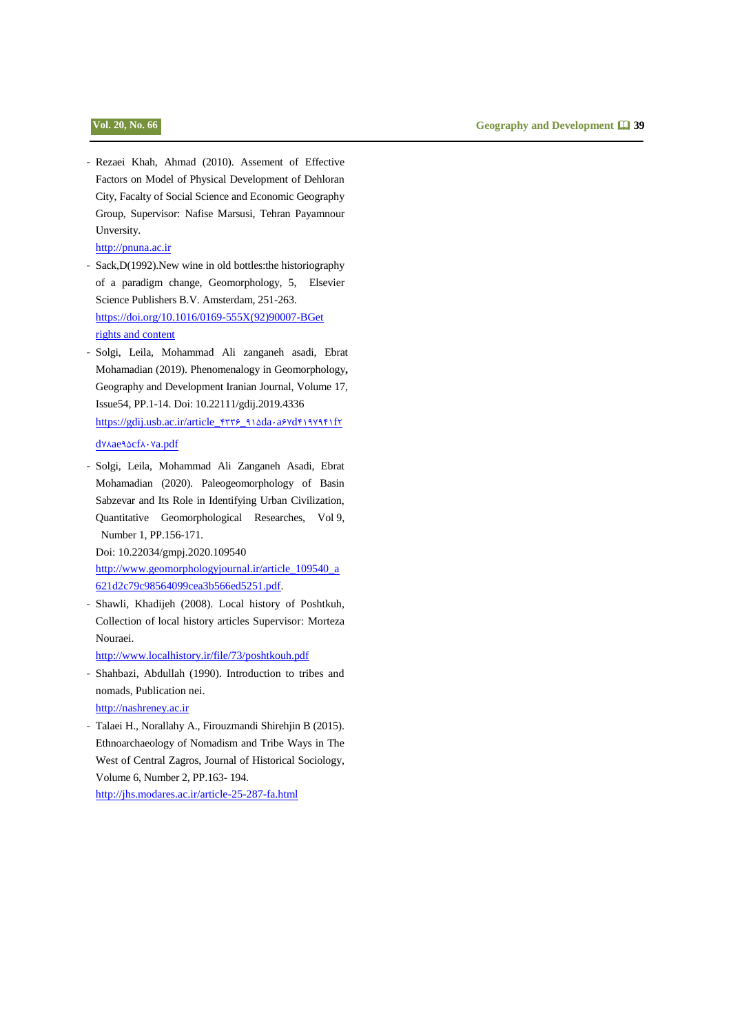- Rezaei Khah, Ahmad (2010). Assement of Effective Factors on Model of Physical Development of Dehloran City, Facalty of Social Science and Economic Geography Group, Supervisor: Nafise Marsusi, Tehran Payamnour Unversity.

http://pnuna.ac.ir

- Sack,D(1992).New wine in old bottles:the historiography of a paradigm change, Geomorphology, 5, Elsevier Science Publishers B.V. Amsterdam, 251-263. [https://doi.org/10.1016/0169-555X\(92\)90007-BGet](https://doi.org/10.1016/0169-555X(92)90007-B)  rights and content
- Solgi, Leila, Mohammad Ali zanganeh asadi, Ebrat Mohamadian (2019). Phenomenalogy in Geomorphology**,** Geography and Development Iranian Journal, Volume 17, Issue54, PP.1-14. Doi: 10.22111/gdij.2019.4336 [https://gdij.usb.ac.ir/article\\_](https://gdij.usb.ac.ir/article_4336_915da0a67d4197941f2d78ae95cf807a.pdf)FTTF\_91dda+a8Vdf19V9f1fY

#### dvxae9&cfx·v[a.pdf](https://gdij.usb.ac.ir/article_4336_915da0a67d4197941f2d78ae95cf807a.pdf)

- Solgi, Leila, Mohammad Ali Zanganeh Asadi, Ebrat Mohamadian (2020). Paleogeomorphology of Basin Sabzevar and Its Role in Identifying Urban Civilization, Quantitative Geomorphological Researches, Vol 9, , Number 1, PP.156-171.

Doi: 10.22034/gmpj.2020.109540

http://www.geomorphologyjournal.ir/article\_109540\_a 621d2c79c98564099cea3b566ed5251.pdf.

- Shawli, Khadijeh (2008). Local history of Poshtkuh, Collection of local history articles Supervisor: Morteza Nouraei.

http://www.localhistory.ir/file/73/poshtkouh.pdf

- Shahbazi, Abdullah (1990). Introduction to tribes and nomads, Publication nei.

http://nashreney.ac.ir

- Talaei H., Norallahy A., Firouzmandi Shirehjin B (2015). Ethnoarchaeology of Nomadism and Tribe Ways in The West of Central Zagros, [Journal of Historical Sociology,](https://www.sid.ir/en/journal/JournalList.aspx?ID=23835) Volume 6, Number 2, PP.163- 194.

<http://jhs.modares.ac.ir/article-25-287-fa.html>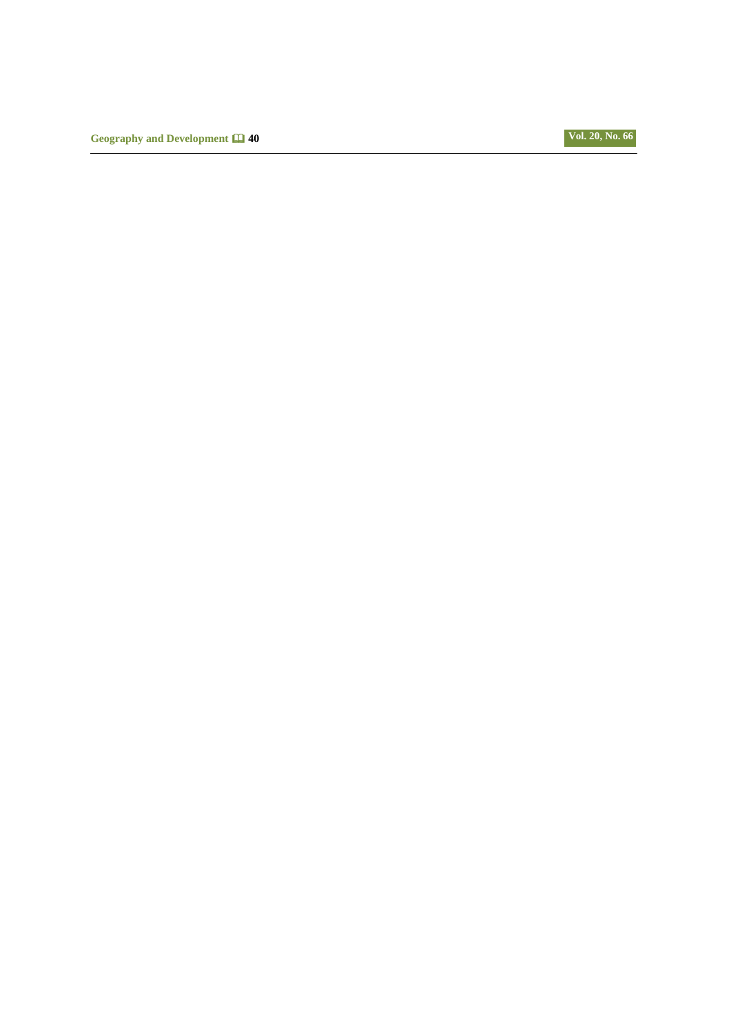Vol. 20, No. 66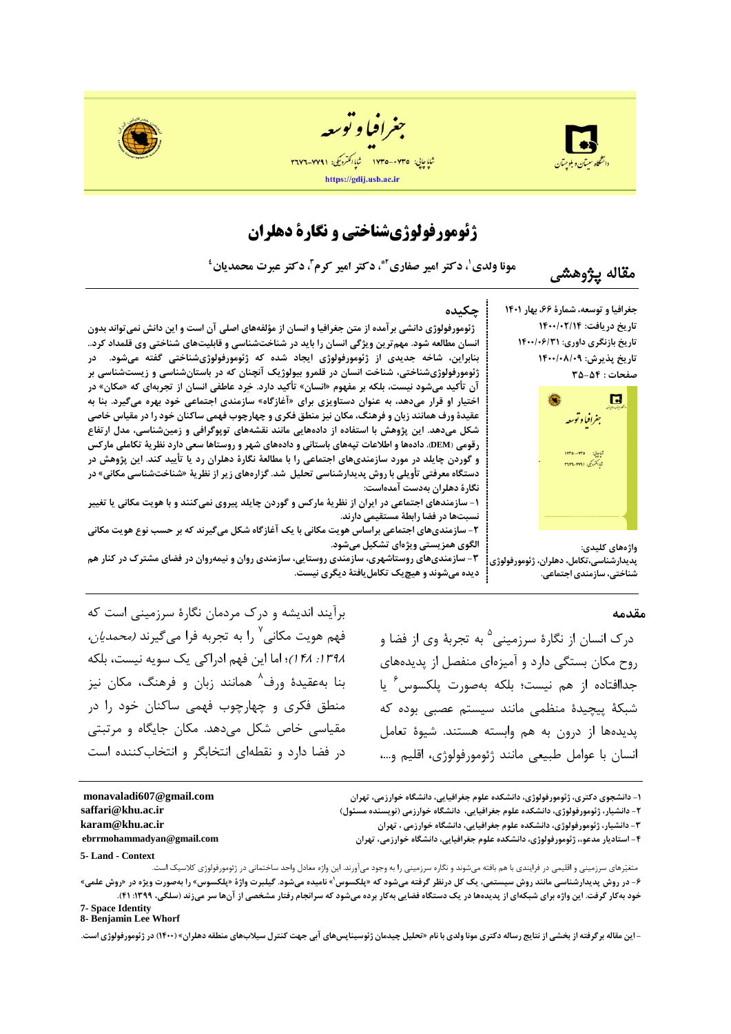

**مقاله پژوهشی**





# **ژئومورفولوژیشناختی و نگارۀ دهلران**

**، دکتر امیر صفاری <sup>1</sup> مونا ولدی \*2 ، دکتر امیر کرم 4 ، دکتر عبرت محمدیان <sup>3</sup>**

**جغرافیا و توسعه، شمارۀ ،66 بهار 1041 تاریخ دریافت: 0411/10/04 تاریخ بازنگری داوری: 1044/46/11 تاریخ پذیرش: 0411/10/10 صفحات : 14-40**



**واژههای کلیدی: پدیدارشناسی،تکامل، دهلران، ژئومورفولوژی شناختی، سازمندی اجتماعی.**

 **مقدمه**

درک انسان از نگارۀ سرزمینی<sup>۵</sup> به تجربۀ وی از فضا و روح مکان بستگی دارد و آمیزهای منفصل از پدیدههای جداافتاده از هم نیست؛ بلکه بهصورت پلکسوس<sup>۶</sup> یا شبکۀ پیچیدۀ منظمی مانند سیستم عصبی بوده که پدیدهها از درون به هم وابسته هستند. شیوۀ تعامل انسان با عوامل طبیعی مانند ژئومورفولوژی، اقلیم و،...

**چکیده**

 **ژئومورفولوژی دانشی برآمده از متن جغرافیا و انسان از مؤلفههای اصلی آن است و این دانش نمیتواند بدون انسان مطالعه شود. مهمترین ویژگی انسان را باید در شناختشناسی و قابلیتهای شناختی وی قلمداد کرد.. بنابراین، شاخه جدیدی از ژئومورفولوژی ایجاد شده که ژئومورفولوژیشناختی گفته میشود. در ژئومورفولوژیشناختی، شناخت انسان در قلمرو بیولوژیک آنچنان که در باستانشناسی و زیستشناسی بر آن تأکید میشود نیست، بلکه بر مفهوم »انسان« تأکید دارد. خ رد عاطفی انسان از تجربهای که »مکان« در اختیار او قرار میدهد، به عنوان دستاویزی برای »آغازگاه« سازمندی اجتماعی خود بهره میگیرد. بنا به عقیدۀ ورف همانند زبان و فرهنگ، مکان نیز منطق فکری و چهارچوب فهمی ساکنان خود را در مقیاس خاصی شکل میدهد. این پژوهش با استفاده از دادههایی مانند نقشههای توپوگرافی و زمینشناسی، مدل ارتفاع رقومی )DEM)، دادهها و اطالعات تپههای باستانی و دادههای شهر و روستاها سعی دارد نظریۀ تکاملی مارکس و گوردن چایلد در مورد سازمندیهای اجتماعی را با مطالعۀ نگارۀ دهلران رد یا تأیید کند. این پژوهش در دستگاه معرفتی تأویلی با روش پدیدارشناسی تحلیل شد. گزارههای زیر از نظریۀ »شناختشناسی مکانی« در نگارۀ دهلران بهدست آمدهاست:**

**-1 سازمندهای اجتماعی در ایران از نظریۀ مارکس و گوردن چایلد پیروی نمیکنند و با هویت مکانی یا تغییر نسبتها در فضا رابطۀ مستقیمی دارند.**

**-2 سازمندیهای اجتماعی براساس هویت مکانی با یک آغازگاه شکل میگیرند که بر حسب نوع هویت مکانی الگوی همزیستی ویژهای تشکیل میشود.**

**-1 سازمندیهای روستاشهری، سازمندی روستایی، سازمندی روان و نیمهروان در فضای مشترک در کنار هم دیده میشوند و هیچیک تکاملیافتۀ دیگری نیست.**

برآیند اندیشه و درک مردمان نگارۀ سرزمینی است که فهم هویت مکانی<sup>۷</sup> را به تجربه فرا میگیرند *(محمدیان،* :2574 284(؛ اما این فهم ادراکی یک سویه نیست، بلکه بنا بهعقیدۀ ورف<sup>^</sup> همانند زبان و فرهنگ، مکان نیز منطق فکری و چهارچوب فهمی ساکنان خود را در مقیاسی خاص شکل میدهد. مکان جایگاه و مرتبتی در فضا دارد و نقطهای انتخابگر و انتخابکننده است

**-1 دانشجوی دکتری، ژئومورفولوژی، دانشکده علوم جغرافیایی، دانشگاه خوارزمی، تهران com.gmail@607monavaladi -2 دانشیار، ژئومورفولوژی، دانشکده علوم جغرافیایی، دانشگاه خوارزمی )نویسنده مسئول( ir.ac.khu@saffari**

**-0 استادیار مدعو،، ژئومورفولوژی، دانشکده علوم جغرافیایی، دانشگاه خوارزمی، تهران com.gmail@ebrrmohammadyan**

**-1 دانشیار، ژئومورفولوژی، دانشکده علوم جغرافیایی، دانشگاه خوارزمی ، تهران ir.ac.khu@karam**

**5- Land - Context**

متغیّرهای سرزمینی و اقلیمی در فرایندی با هم بافته میشوند و نگاره سرزمینی را به وجود میآورند. این واژه معادل واحد ساختمانی در ژئومورفولوژی کلاسیک اس ۶– در روش پدیدارشناسی مانند روش سیستمی، یک کل درنظر گرفته میشود که «پلکسوس<sup>(</sup>» نامیده میشود. گیلبرت واژهٔ «پلکسوس» را بهصورت ویژه در «روش علمی» خود بهکار گرفت. این واژه برای شبکهای از پدیدهها در یک دستگاه فضایی بهکار برده میشود که سرانجام رفتار مشخصی از آنها سر میزند (سلگی، ۱۳۹۹: ۴۱). **7- Space Identity**

## **8- Benjamin Lee Whorf**

- این مقاله برگرفته از بخشی از نتایج رساله دکتری مونا ولدی با نام «تحلیل چیدمان ژئوسیناپس@ آبی جهت کنترل سیلابهای منطقه دهلران» (۱۴۰۰) در ژئومورفولوژی است.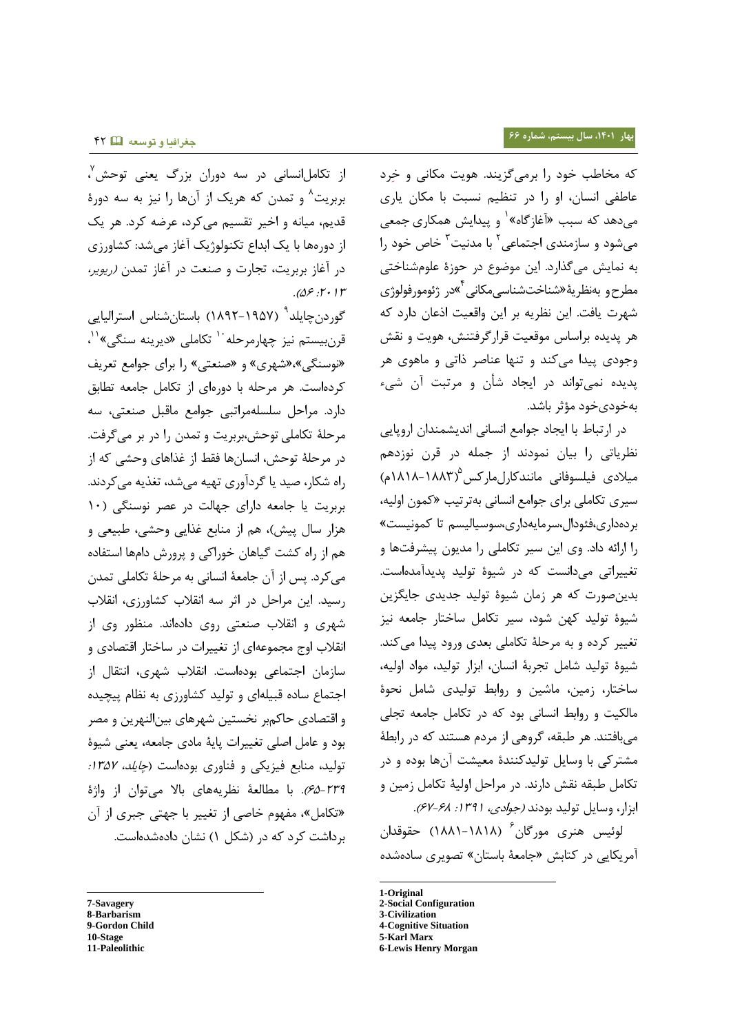از تکامل|نسانی در سه دوران بزرگ یعنی توحش<sup>۷</sup>، بربریت 4 و تمدن که هریک از آنها را نیز به سه دورۀ قدیم، میانه و اخیر تقسیم میکرد، عرضه کرد. هر یک از دورهها با یک ابداع تکنولوژیک آغاز میشد: کشاورزی در آغاز بربریت، تجارت و صنعت در آغاز تمدن *(ریویر،*  $(05.7 \cdot 1)^n$ 

گوردنچایلد<sup>۹</sup> (۱۹۵۷–۱۸۹۲) باستانشناس استرالیایی قرنبیستم نیز چهارمرحله<sup>۱۰</sup> تکاملی «دیرینه سنگی»<sup>۱٬</sup> »نوسنگی«،»شهری« و »صنعتی« را برای جوامع تعریف کردهاست. هر مرحله با دورهای از تکامل جامعه تطابق دارد. مراحل سلسلهمراتبی جوامع ماقبل صنعتی، سه مرحلۀ تکاملیتوحش،بربریت و تمدن را در بر میگرفت. در مرحلۀ توحش، انسانها فقط از غذاهای وحشی که از راه شکار، صید یا گردآوری تهیه میشد، تغذیه میکردند. بربریت یا جامعه دارای جهالت در عصر نوسنگی )28 هزار سال پیش)، هم از منابع غذایی وحشی، طبیعی و هم از راه کشت گیاهان خوراکی و پرورش دامها استفاده میکرد. پس از آن جامعۀ انسانی به مرحلۀ تکاملی تمدن رسید. این مراحل در اثر سه انقالب کشاورزی، انقالب شهری و انقالب صنعتی روی دادهاند. منظور وی از انقالب اوج مجموعهای از تغییرات در ساختار اقتصادی و سازمان اجتماعی بودهاست. انقالب شهری، انتقال از اجتماع ساده قبیلهای و تولید کشاورزی به نظام پیچیده و اقتصادی حاکمبر نخستین شهرهای بینالنهرین و مصر بود و عامل اصلی تغییرات پایۀ مادی جامعه، یعنی شیوۀ تولید، منابع فیزیکی و فناوری بودهاست (*چایلد، ١٣۵٧:* 33-157(. با مطالعۀ نظریههای باال میتوان از واژۀ »تکامل«، مفهوم خاصی از تغییر با جهتی جبری از آن برداشت کرد که در (شکل ۱) نشان دادهشدهاست.

**7-Savagery 8-Barbarism**

l

- **9-Gordon Child**
- **10-Stage 11-Paleolithic**

که مخاطب خود را برمیگزیند. هویت مکانی و خ رد عاطفی انسان، او را در تنظیم نسبت با مکان یاری میدهد که سبب «آغازگاه» و پیدایش همکاری جمعی میشود و سازمندی اجتماعی<sup>۲</sup> با مدنیت<sup>۲</sup> خاص خود را به نمایش میگذارد. این موضوع در حوزۀ علومشناختی مطرح و بەنظريۀ«شناختشناسىمكانى<sup>۲</sup>»در ژئومورفولوژى شهرت یافت. این نظریه بر این واقعیت اذعان دارد که هر پدیده براساس موقعیت قرارگرفتنش، هویت و نقش وجودی پیدا میکند و تنها عناصر ذاتی و ماهوی هر پدیده نمیتواند در ایجاد شأن و مرتبت آن شیء بهخودیخود مؤثر باشد.

 در ارتباط با ایجاد جوامع انسانی اندیشمندان اروپایی نظریاتی را بیان نمودند از جمله در قرن نوزدهم میلادی فیلسوفانی مانندکارلمارکس<sup>۵</sup>(۱۸۸۳–۱۸۱۸م) سیری تکاملی برای جوامع انسانی بهترتیب »کمون اولیه، بردهداری،فئودال،سرمایهداری،سوسیالیسم تا کمونیست« را ارائه داد. وی این سیر تکاملی را مدیون پیشرفتها و تغییراتی میدانست که در شیوۀ تولید پدیدآمدهاست. بدینصورت که هر زمان شیوۀ تولید جدیدی جایگزین شیوۀ تولید کهن شود، سیر تکامل ساختار جامعه نیز تغییر کرده و به مرحلۀ تکاملی بعدی ورود پیدا میکند. شیوۀ تولید شامل تجربۀ انسان، ابزار تولید، مواد اولیه، ساختار، زمین، ماشین و روابط تولیدی شامل نحوۀ مالکیت و روابط انسانی بود که در تکامل جامعه تجلی میبافتند. هر طبقه، گروهی از مردم هستند که در رابطۀ مشترکی با وسایل تولیدکنندۀ معیشت آنها بوده و در تکامل طبقه نقش دارند. در مراحل اولیۀ تکامل زمین و ابزار، وسایل تولید بودند (جوادی، ۱۳۹۱: ۶۷-۶۷).

لوئیس هنری مورگان<sup>۶</sup> (۱۸۱۸–۱۸۸۱) حقوقدان آمریکایی در کتابش »جامعۀ باستان« تصویری سادهشده

**1-Original** 

1

- **2-Social Configuration 3-Civilization**
- **4-Cognitive Situation**
- **5-Karl Marx**
- **6-Lewis Henry Morgan**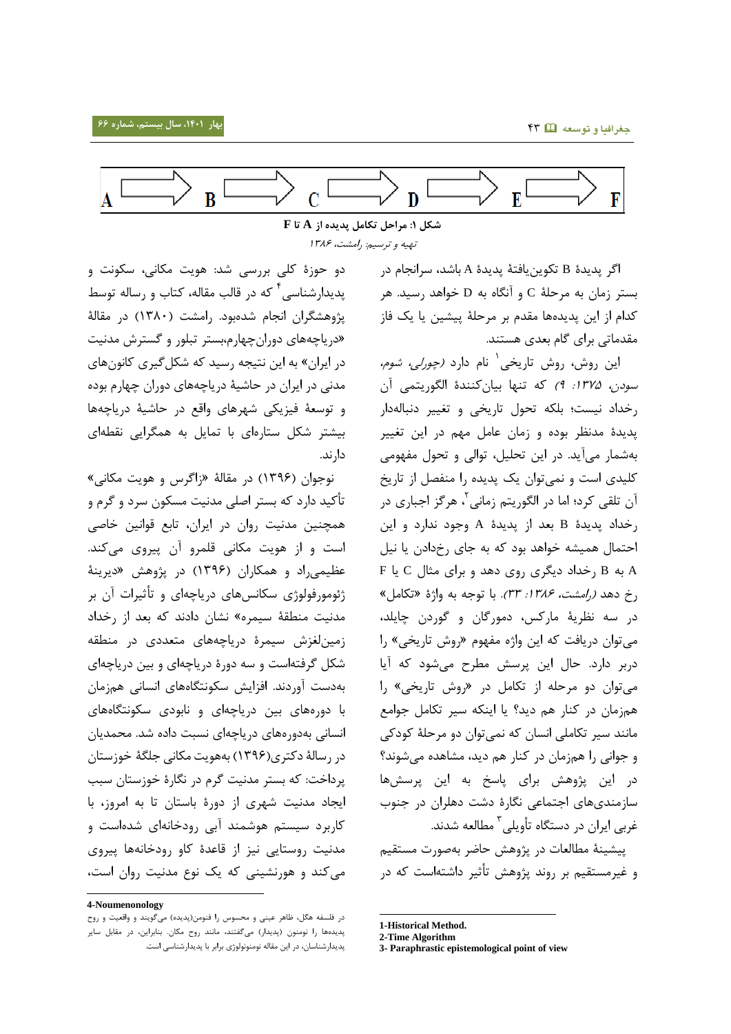R.  $\overline{R}$  $\mathbf{D}$  $\mathbf{F}$ 

> **شکل :1 مراحل تکامل پدیده از A تا F** تهیه و ترسیم: رامشت، <sup>2543</sup>

> > اگر پدیدۀ B تکوینیافتۀ پدیدۀ A باشد، سرانجام در بستر زمان به مرحلۀ C و آنگاه به D خواهد رسید. هر کدام از این پدیدهها مقدم بر مرحلۀ پیشین یا یک فاز مقدماتی برای گام بعدی هستند.

> > این روش، روش تاریخی<sup>۱</sup> نام دارد *(چورلی، شوم،* س*ودن، ١٣٧۵: ٩)* كه تنها بيانكنندۀ الگوريتمى آن رخداد نیست؛ بلکه تحول تاریخی و تغییر دنبالهدار پدیدۀ مدنظر بوده و زمان عامل مهم در این تغییر بهشمار میآید. در این تحلیل، توالی و تحول مفهومی کلیدی است و نمیتوان یک پدیده را منفصل از تاریخ 1 آن تلقی کرد؛ اما در الگوریتم زمانی ، هرگز اجباری در رخداد پدیدۀ B بعد از پدیدۀ A وجود ندارد و این احتمال همیشه خواهد بود که به جای رخدادن یا نیل A به B رخداد دیگری روی دهد و برای مثال C یا F رخ دهد *(رامشت، ۱۳۸۶: ۳۳).* با توجه به واژۀ «تکامل» در سه نظریۀ مارکس، دمورگان و گوردن چایلد، میتوان دریافت که این واژه مفهوم »روش تاریخی« را دربر دارد. حال این پرسش مطرح میشود که آیا میتوان دو مرحله از تکامل در »روش تاریخی« را همزمان در کنار هم دید؟ یا اینکه سیر تکامل جوامع مانند سیر تکاملی انسان که نمیتوان دو مرحلۀ کودکی و جوانی را همزمان در کنار هم دید، مشاهده میشوند؟ در این پژوهش برای پاسخ به این پرسشها سازمندیهای اجتماعی نگارۀ دشت دهلران در جنوب غربی ایران در دستگاه تأویلی<sup>۳</sup> مطالعه شدند.

 پیشینۀ مطالعات در پژوهش حاضر بهصورت مستقیم و غیرمستقیم بر روند پژوهش تأثیر داشتهاست که در

-

دو حوزۀ کلی بررسی شد: هویت مکانی، سکونت و 8 پدیدارشناسی که در قالب مقاله، کتاب و رساله توسط پژوهشگران انجام شدهبود. رامشت )2548( در مقالۀ »دریاچههای دورانچهارم،بستر تبلور و گسترش مدنیت در ایران» به این نتیجه رسید که شکل گیری کانونهای مدنی در ایران در حاشیۀ دریاچههای دوران چهارم بوده و توسعۀ فیزیکی شهرهای واقع در حاشیۀ دریاچهها بیشتر شکل ستارهای با تمایل به همگرایی نقطهای دارند.

 نوجوان )2573( در مقالۀ »زاگرس و هویت مکانی« تأکید دارد که بستر اصلی مدنیت مسکون سرد و گرم و همچنین مدنیت روان در ایران، تابع قوانین خاصی است و از هویت مکانی قلمرو آن پیروی میکند. عظیمیراد و همکاران )2573( در پژوهش »دیرینۀ ژئومورفولوژی سکانسهای دریاچهای و تأثیرات آن بر مدنیت منطقۀ سیمره« نشان دادند که بعد از رخداد زمینلغزش سیمرۀ دریاچههای متعددی در منطقه شکل گرفتهاست و سه دورۀ دریاچهای و بین دریاچهای بهدست آوردند. افزایش سکونتگاههای انسانی همزمان با دورههای بین دریاچهای و نابودی سکونتگاههای انسانی بهدورههای دریاچهای نسبت داده شد. محمدیان در رسالۀ دکتری)2573( بههویت مکانی جلگۀ خوزستان پرداخت: که بستر مدنیت گرم در نگارۀ خوزستان سبب ایجاد مدنیت شهری از دورۀ باستان تا به امروز، با کاربرد سیستم هوشمند آبی رودخانهای شدهاست و مدنیت روستایی نیز از قاعدۀ کاو رودخانهها پیروی میکند و هورنشینی که یک نوع مدنیت روان است،

**4-Noumenonology**

l

**<sup>1-</sup>Historical Method.**

**<sup>2-</sup>Time Algorithm**

**<sup>3-</sup> Paraphrastic epistemological point of view**

در فلسفه هگل، ظاهر عینی و محسوس را فنومن)پدیده( میگویند و واقعیت و روح پدیدهها را نومنون )پدیدار( میگفتند، مانند روح مکان. بنابراین، در مقابل سایر پدیدارشناسان، در این مقاله نومنونولوژی برابر با پدیدارشناسی است.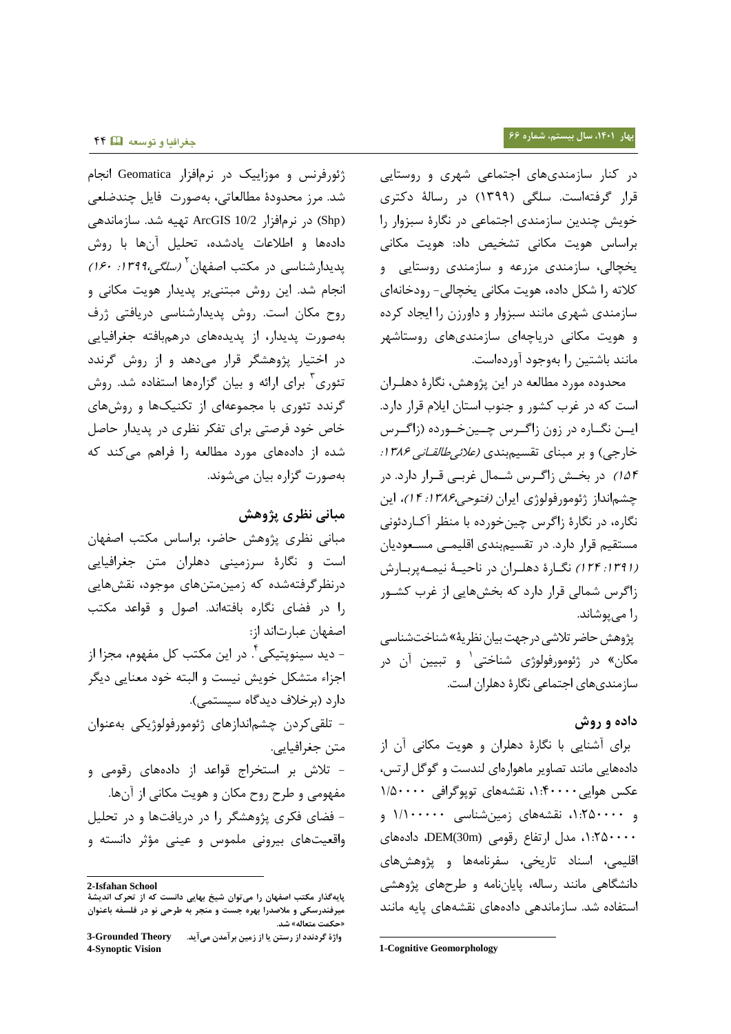در کنار سازمندیهای اجتماعی شهری و روستایی قرار گرفتهاست. سلگی )2577( در رسالۀ دکتری خویش چندین سازمندی اجتماعی در نگارۀ سبزوار را براساس هویت مکانی تشخیص داد: هویت مکانی یخچالی، سازمندی مزرعه و سازمندی روستایی و کالته را شکل داده، هویت مکانی یخچالی- رودخانهای سازمندی شهری مانند سبزوار و داورزن را ایجاد کرده و هویت مکانی دریاچهای سازمندیهای روستاشهر مانند باشتین را بهوجود آوردهاست.

 محدوده مورد مطالعه در این پژوهش، نگارۀ دهلرران است که در غرب کشور و جنوب استان ایالم قرار دارد . ایــن نگــاره در زون زاگــرس چــینخــورده (زاگــرس خارجی) و بر مبنای تقسیم بندی *(علائی طالقـانی ۱۳۸۶:*  238 ( د ر بخرش زاگررس شرمال غربری قررار دارد . در چشمانداز ژئومورفولوژی ایران *(فتوحی،۱۳۸۶: ۱۴)،* این نگاره، در نگارۀ زاگرس چین خورده با منظر آکراردئونی مستقیم قرار دارد . در تقسیم بندی اقلیمری مسرعودیان ) 2572 : 218 ( نگرارۀ دهلرران در ناحیرۀ نیمره پربرارش زاگرس شمالی قرار دارد که بخش هایی از غرب کشرور را می پوشاند .

پژوهش حاضر تلاشی درجهت بیان نظریۀ» شناختشناسی مکان» در ژئومورفولوژی شناختی<sup>۱</sup> و تبیین آن در سازمندیهای اجتماعی نگارۀ دهلران است.

## **داده و روش**

 برای آشنایی با نگارۀ دهلران و هویت مکانی آن از دادههایی مانند تصاویر ماهوارهای لندست و گوگل ارتس، عکس هوایی۲۰۰۰۰. نقشههای توپوگرافی ۱/۵۰۰۰۰ و ،2:138888 نقشههای زمینشناسی 2/288888 و ،2:138888 مدل ارتفاع رقومی (m30(DEM، دادههای اقلیمی، اسناد تاریخی، سفرنامهها و پژوهشهای دانشگاهی مانند رساله، پایاننامه و طرحهای پژوهشی استفاده شد. سازماندهی دادههای نقشههای پایه مانند

-

**جغرافیا و توسعه** 88

ژئورفرنس و موزاییک در نرمافزار Geomatica انجام شد. مرز محدودۀ مطالعاتی، بهصورت فایل چندضلعی )Shp )در نرمافزار 10/2 ArcGIS تهیه شد. سازماندهی دادهها و اطالعات یادشده، تحلیل آنها با روش پدیدارشناسی در مکتب اصفهان<sup>۲</sup> *(سلگی،۱۳۹۹: ۱۶۰)* انجام شد. این روش مبتنیبر پدیدار هویت مکانی و روح مکان است. روش پدیدارشناسی دریافتی ژرف بهصورت پدیدار، از پدیدههای درهمبافته جغرافیایی در اختیار پژوهشگر قرار میدهد و از روش گرندد تئوری 5 برای ارائه و بیان گزارهها استفاده شد. روش گرندد تئوری با مجموعهای از تکنیکها و روشهای خاص خود فرصتی برای تفکر نظری در پدیدار حاصل شده از دادههای مورد مطالعه را فراهم میکند که بهصورت گزاره بیان میشوند.

## **مبانی نظری پژوهش**

مبانی نظری پژوهش حاضر، براساس مکتب اصفهان است و نگارۀ سرزمینی دهلران متن جغرافیایی درنظرگرفتهشده که زمینمتنهای موجود، نقشهایی را در فضای نگاره بافتهاند. اصول و قواعد مکتب اصفهان عبارتاند از: - دید سینوپتیکی 8 . در این مکتب کل مفهوم، مجزا از اجزاء متشکل خویش نیست و البته خود معنایی دیگر دارد (برخلاف دیدگاه سیستمی). - تلقیکردن چشماندازهای ژئومورفولوژیکی بهعنوان متن جغرافیایی. - تالش بر استخراج قواعد از دادههای رقومی و مفهومی و طرح روح مکان و هویت مکانی از آنها. - فضای فکری پژوهشگر را در دریافتها و در تحلیل واقعیتهای بیرونی ملموس و عینی مؤثر دانسته و

l **2-Isfahan School**

**<sup>1-</sup>Cognitive Geomorphology**

**پایهگذار مکتب اصفهان را میتوان شیخ بهایی دانست که از تحرک اندیشۀ میرفندرسکی و مالصدرا بهره جست و منجر به طرحی نو در فلسفه باعنوان »حکمت متعاله« شد.**

**واژۀ گردندد از رستن یا از زمین برآمدن میآید. Theory Grounded3- 4-Synoptic Vision**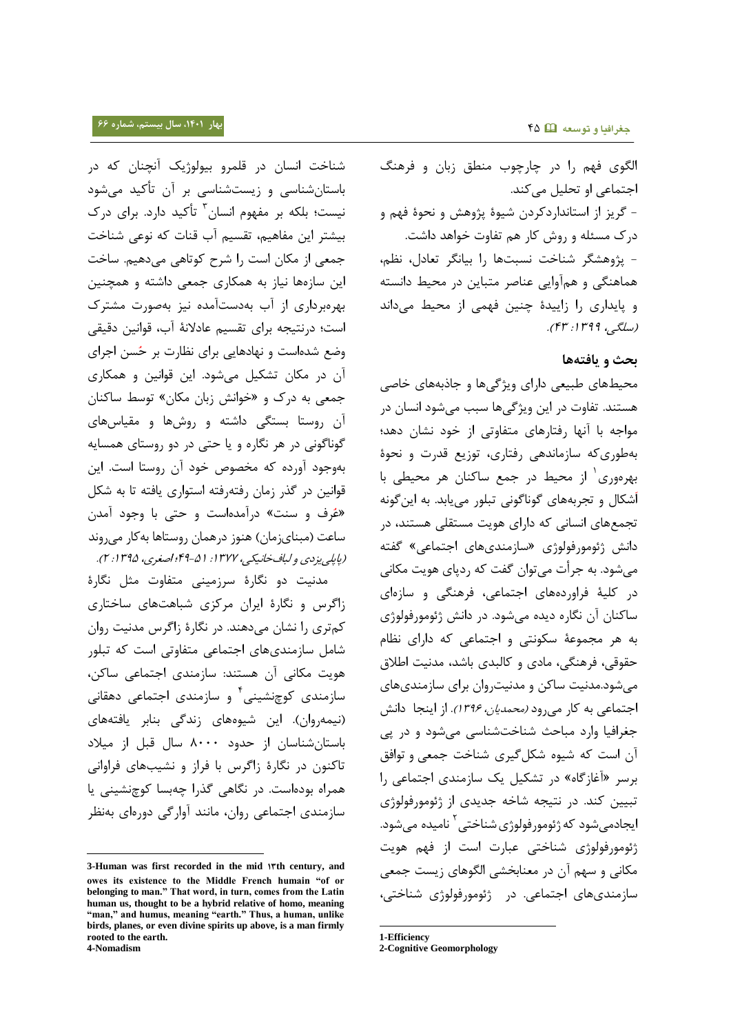شناخت انسان در قلمرو بیولوژیک آنچنان که در باستانشناسی و زیستشناسی بر آن تأکید میشود نیست؛ بلکه بر مفهوم انسان<sup>۲</sup> تأکید دارد. برای درک بیشتر این مفاهیم، تقسیم آب قنات که نوعی شناخت جمعی از مکان است را شرح کوتاهی میدهیم. ساخت این سازهها نیاز به همکاری جمعی داشته و همچنین بهرهبرداری از آب بهدستآمده نیز بهصورت مشترک است؛ درنتیجه برای تقسیم عادالنۀ آب، قوانین دقیقی وضع شدهاست و نهادهایی برای نظارت بر حُسن اجرای آن در مکان تشکیل میشود. این قوانین و همکاری جمعی به درک و »خوانش زبان مکان« توسط ساکنان آن روستا بستگی داشته و روشها و مقیاسهای گوناگونی در هر نگاره و یا حتی در دو روستای همسایه بهوجود آورده که مخصوص خود آن روستا است. این قوانین در گذر زمان رفتهرفته استواری یافته تا به شکل «عُرف و سنت» درآمدهاست و حتی با وجود آمدن ساعت )مبنایزمان( هنوز درهمان روستاها بهکار میروند (پاپله پزدی و لبافخانیکه، ۱۳۷۷: ۵۱-۴۹؛ اصغری، ۱۳۹۵: ۲).

مدنیت دو نگارۀ سرزمینی متفاوت مثل نگارۀ زاگرس و نگارۀ ایران مرکزی شباهتهای ساختاری کمتری را نشان میدهند. در نگارۀ زاگرس مدنیت روان شامل سازمندیهای اجتماعی متفاوتی است که تبلور هویت مکانی آن هستند: سازمندی اجتماعی ساکن، سازمندی کوچنشینی<sup>۴</sup> و سازمندی اجتماعی دهقانی )نیمهروان(. این شیوههای زندگی بنابر یافتههای باستانشناسان از حدود 4888 سال قبل از میالد تاکنون در نگارۀ زاگرس با فراز و نشیبهای فراوانی همراه بودهاست. در نگاهی گذرا چهبسا کوچنشینی یا سازمندی اجتماعی روان، مانند آوارگی دورهای بهنظر

-

الگوی فهم را در چارچوب منطق زبان و فرهنگ اجتماعی او تحلیل میکند. - گریز از استانداردکردن شیوۀ پژوهش و نحوۀ فهم و درک مسئله و روش کار هم تفاوت خواهد داشت. - پژوهشگر شناخت نسبتها را بیانگر تعادل، نظم، هماهنگی و همآوایی عناصر متباین در محیط دانسته و پایداری را زاییدۀ چنین فهمی از محیط میداند (سلگى، 1۳۹۹: ۴۳).

## **بحث و یافتهها**

محیطهای طبیعی دارای ویژگیها و جاذبههای خاصی هستند. تفاوت در این ویژگیها سبب میشود انسان در مواجه با آنها رفتارهای متفاوتی از خود نشان دهد؛ بهطوریکه سازماندهی رفتاری، توزیع قدرت و نحوۀ بهرهوری 2 از محیط در جمع ساکنان هر محیطی با ا شکال و تجربههای گوناگونی تبلور مییابد. به اینگونه تجمعهای انسانی که دارای هویت مستقلی هستند، در دانش ژئومورفولوژی »سازمندیهای اجتماعی« گفته میشود. به جرأت میتوان گفت که ردپای هویت مکانی در کلیۀ فراوردههای اجتماعی، فرهنگی و سازهای ساکنان آن نگاره دیده میشود. در دانش ژئومورفولوژی به هر مجموعۀ سکونتی و اجتماعی که دارای نظام حقوقی، فرهنگی، مادی و کالبدی باشد، مدنیت اطالق میشود.مدنیت ساکن و مدنیتروان برای سازمندیهای اجتماعی به کار می رود *(محمدیان، 1۳۹۶).* از اینجا دانش جغرافیا وارد مباحث شناختشناسی میشود و در پی آن است که شیوه شکلگیری شناخت جمعی و توافق برسر »آغازگاه« در تشکیل یک سازمندی اجتماعی را تبیین کند. در نتیجه شاخه جدیدی از ژئومورفولوژی 'یجادمیشود که ژئومورفولوژی شناختی <sup>۲</sup> نامیده میشود. ژئومورفولوژی شناختی عبارت است از فهم هویت مکانی و سهم آن در معنابخشی الگوهای زیست جمعی سازمندیهای اجتماعی. در ژئومورفولوژی شناختی،

-

**<sup>3-</sup>Human was first recorded in the mid 11th century, and owes its existence to the Middle French humain "of or belonging to man." That word, in turn, comes from the Latin human us, thought to be a hybrid relative of homo, meaning "man," and humus, meaning "earth." Thus, a human, unlike birds, planes, or even divine spirits up above, is a man firmly rooted to the earth. 4-Nomadism**

**<sup>1-</sup>Efficiency**

**<sup>2-</sup>Cognitive Geomorphology**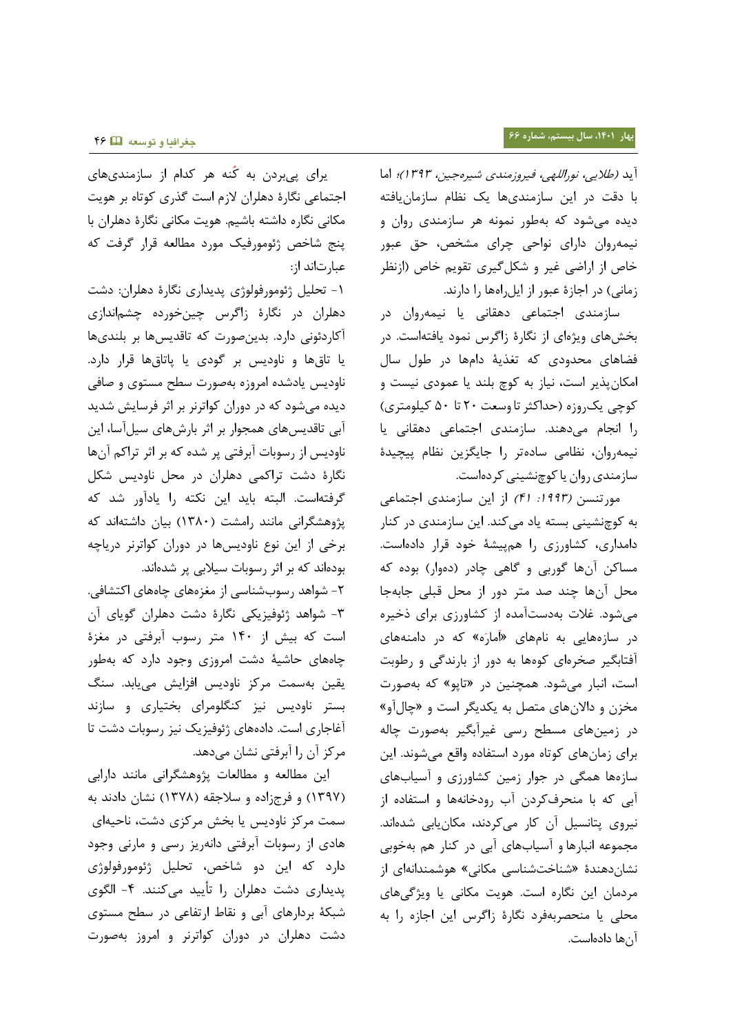آید )طالیی، نوراللهی، فیروزمندی شیرهجین، 2575(؛ اما با دقت در این سازمندیها یک نظام سازمانیافته دیده میشود که بهطور نمونه هر سازمندی روان و نیمهروان دارای نواحی چرای مشخص، حق عبور خاص از اراضی غیر و شکلگیری تقویم خاص )ازنظر زمانی) در اجازۀ عبور از ایل راهها را دارند.

سازمندی اجتماعی دهقانی یا نیمهروان در بخشهای ویژهای از نگارۀ زاگرس نمود یافتهاست. در فضاهای محدودی که تغذیۀ دامها در طول سال امکانپذیر است، نیاز به کوچ بلند یا عمودی نیست و کوچی یکروزه )حداکثرتاوسعت18 تا 38 کیلومتری( را انجام میدهند. سازمندی اجتماعی دهقانی یا نیمهروان، نظامی سادهتر را جایگزین نظام پیچیدۀ سازمندی روان یا کوچنشینی کردهاست.

مورتنسن ):2775 82( از این سازمندی اجتماعی به کوچنشینی بسته یاد میکند. این سازمندی در کنار دامداری، کشاورزی را همپیشۀ خود قرار دادهاست. مساکن آنها گوربی و گاهی چادر )دهوار( بوده که محل آنها چند صد متر دور از محل قبلی جابهجا میشود. غالت بهدستآمده از کشاورزی برای ذخیره در سازههایی به نامهای » ا مار ه« که در دامنههای آفتابگیر صخرهای کوهها به دور از بارندگی و رطوبت است، انبار میشود. همچنین در »تاپو« که بهصورت مخزن و داالنهای متصل به یکدیگر است و »چالآو« در زمینهای مسطح رسی غیرآبگیر بهصورت چاله برای زمانهای کوتاه مورد استفاده واقع میشوند. این سازهها همگی در جوار زمین کشاورزی و آسیابهای آبی که با منحرفکردن آب رودخانهها و استفاده از نیروی پتانسیل آن کار میکردند، مکانیابی شدهاند. مجموعه انبارها و آسیابهای آبی در کنار هم بهخوبی نشان دهندۀ «شناختشناسی مکانی» هوشمندانهای از مردمان این نگاره است. هویت مکانی یا ویژگیهای محلی یا منحصربهفرد نگارۀ زاگرس این اجازه را به آنها دادهاست.

یرای پی بردن به کُنه هر کدام از سازمندیهای اجتماعی نگارۀ دهلران الزم است گذری کوتاه بر هویت مکانی نگاره داشته باشیم. هویت مکانی نگارۀ دهلران با پنج شاخص ژئومورفیک مورد مطالعه قرار گرفت که عبارتاند از:

-2 تحلیل ژئومورفولوژی پدیداری نگارۀ دهلران: دشت دهلران در نگارۀ زاگرس چینخورده چشماندازی آکاردئونی دارد. بدینصورت که تاقدیسها بر بلندیها یا تاقها و ناودیس بر گودی یا پاتاقها قرار دارد. ناودیس یادشده امروزه بهصورت سطح مستوی و صافی دیده میشود که در دوران کواترنر بر اثر فرسایش شدید آبی تاقدیسهای همجوار بر اثر بارشهای سیلآسا، این ناودیس از رسوبات آبرفتی پر شده که بر اثر تراکم آنها نگارۀ دشت تراکمی دهلران در محل ناودیس شکل گرفتهاست. البته باید این نکته را یادآور شد که پژوهشگرانی مانند رامشت )2548( بیان داشتهاند که برخی از این نوع ناودیسها در دوران کواترنر دریاچه بودهاند که بر اثر رسوبات سیالبی پر شدهاند.

-1 شواهد رسوبشناسی از مغزههای چاههای اکتشافی. -5 شواهد ژئوفیزیکی نگارۀ دشت دهلران گویای آن است که بیش از 288 متر رسوب آبرفتی در مغزۀ چاههای حاشیۀ دشت امروزی وجود دارد که بهطور یقین بهسمت مرکز ناودیس افزایش مییابد. سنگ بستر ناودیس نیز کنگلومرای بختیاری و سازند آغاجاری است. دادههای ژئوفیزیک نیز رسوبات دشت تا مرکز آن را آبرفتی نشان میدهد.

 این مطالعه و مطالعات پژوهشگرانی مانند دارابی )2573( و فرجزاده و سالجقه )2534( نشان دادند به سمت مرکز ناودیس یا بخش مرکزی دشت، ناحیهای هادی از رسوبات آبرفتی دانهریز رسی و مارنی وجود دارد که این دو شاخص، تحلیل ژئومورفولوژی پدیداری دشت دهلران را تأیید میکنند. -8 الگوی شبکۀ بردارهای آبی و نقاط ارتفاعی در سطح مستوی دشت دهلران در دوران کواترنر و امروز بهصورت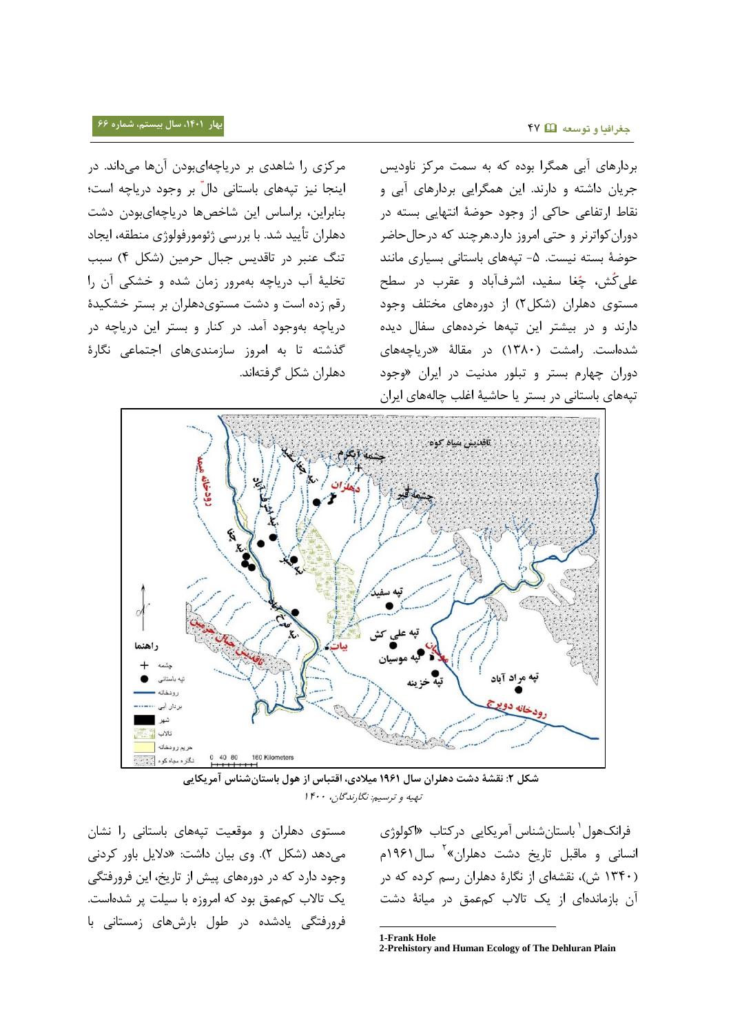مرکزی را شاهدی بر دریاچهایبودن آنها میداند. در اینجا نیز تپه های باستانی دال بر وجود دریاچه است؛ بنابراین، براساس این شاخصها دریاچهایبودن دشت دهلران تأیید شد. با بررسی ژئومورفولوژی منطقه، ایجاد تنگ عنبر در تاقدیس جبال حرمین )شکل 8( سبب تخلیۀ آب دریاچه بهمرور زمان شده و خشکی آن را رقم زده است و دشت مستویدهلران بر بستر خشکیدۀ دریاچه بهوجود آمد. در کنار و بستر این دریاچه در گذشته تا به امروز سازمندیهای اجتماعی نگارۀ دهلران شکل گرفتهاند.

بردارهای آبی همگرا بوده که به سمت مرکز ناودیس جریان داشته و دارند. این همگرایی بردارهای آبی و نقاط ارتفاعی حاکی از وجود حوضۀ انتهایی بسته در دورانکواترنر و حتی امروز دارد.هرچند که درحالحاضر حوضهٔ بسته نیست. ۵- تپههای باستانی بسیاری مانند علی کُش، چُغا سفید، اشرفآباد و عقرب در سطح مستوی دهلران )شکل1( از دورههای مختلف وجود دارند و در بیشتر این تپهها خردههای سفال دیده شدهاست. رامشت )2548( در مقالۀ »دریاچههای دوران چهارم بستر و تبلور مدنیت در ایران »وجود تپههای باستانی در بستر یا حاشیۀ اغلب چالههای ایران



**شکل :2 نقشۀ دشت دهلران سال 1161 میالدی، اقتباس از هول باستانشناس آمریکایی** تهیه و ترسیم: نگارندگان، <sup>2888</sup>

مستوی دهلران و موقعیت تپههای باستانی را نشان میدهد )شکل 1(. وی بیان داشت: »دالیل باور کردنی وجود دارد که در دورههای پیش از تاریخ، این فرورفتگی یک تاالب کمعمق بود که امروزه با سیلت پر شدهاست. فرورفتگی یادشده در طول بارشهای زمستانی با

فرانکهول<sup>'</sup> باستانشناس آمریکایی درکتاب «اکولوژی انسانی و ماقبل تاریخ دشت دهلران<sup>»۲</sup> سال۱۹۶۱م )2588 ش(، نقشهای از نگارۀ دهلران رسم کرده که در آن بازماندهای از یک تاالب کمعمق در میانۀ دشت

 $\overline{a}$ **1-Frank Hole** 

**2-Prehistory and Human Ecology of The Dehluran Plain**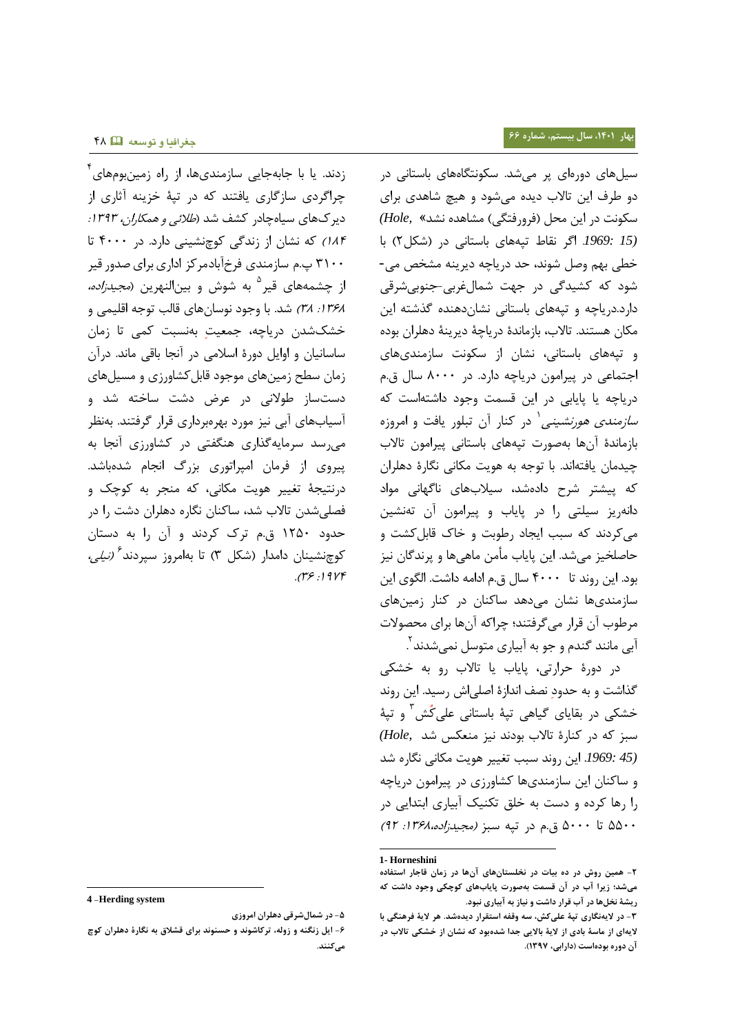سیلهای دورهای پر میشد. سکونتگاههای باستانی در دو طرف این تاالب دیده میشود و هیچ شاهدی برای سکونت در این محل )فرورفتگی( مشاهده نشد« *,Hole( (15* .*1969:* اگر نقاط تپههای باستانی در )شکل1( با خطی بهم وصل شوند، حد دریاچه دیرینه مشخص می- شود که کشیدگی در جهت شمالغربی-جنوبیشرقی دارد.دریاچه و تپههای باستانی نشاندهنده گذشته این مکان هستند. تاالب، بازماندۀ دریاچۀ دیرینۀ دهلران بوده و تپههای باستانی، نشان از سکونت سازمندیهای اجتماعی در پیرامون دریاچه دارد. در 4888 سال ق.م دریاچه یا پایابی در این قسمت وجود داشتهاست که *سازمندی هورنشینی*` در کنار آن تبلور یافت و امروزه بازماندۀ آنها بهصورت تپههای باستانی پیرامون تاالب چیدمان یافتهاند. با توجه به هویت مکانی نگارۀ دهلران که پیشتر شرح دادهشد، سیالبهای ناگهانی مواد دانهریز سیلتی را در پایاب و پیرامون آن تهنشین میکردند که سبب ایجاد رطوبت و خاک قابلکشت و حاصلخیز میشد. این پایاب مأمن ماهیها و پرندگان نیز بود. این روند تا 8888 سال ق.م ادامه داشت. الگوی این سازمندیها نشان میدهد ساکنان در کنار زمینهای مرطوب آن قرار میگرفتند؛ چراکه آنها برای محصوالت

زدند. یا با جابهجایی سازمندیها، از راه زمینبومهای<sup>۲</sup> چراگردی سازگاری یافتند که در تپۀ خزینه آثاری از دیرکهای سیاهچادر کشف شد (*طلائی و همکاران، ۱۳۹۳:* 248( که نشان از زندگی کوچنشینی دارد. در 8888 تا 5288 پ.م سازمندی فرخآبادمرکز اداریبرایصدورقیر از چشمههای قیر<sup>۵</sup> به شوش و بینالنهرین (*مجیدزاده،* :2534 54( شد. با وجود نوسانهای قالب توجه اقلیمی و خشک شدن دریاچه، جمعیت بهنسبت کمی تا زمان ساسانیان و اوایل دورۀ اسالمی در آنجا باقی ماند. درآن زمان سطح زمینهای موجود قابلکشاورزی و مسیلهای دستساز طوالنی در عرض دشت ساخته شد و آسیابهای آبی نیز مورد بهرهبرداری قرار گرفتند. بهنظر میرسد سرمایهگذاری هنگفتی در کشاورزی آنجا به پیروی از فرمان امپراتوری بزرگ انجام شدهباشد. درنتیجۀ تغییر هویت مکانی، که منجر به کوچک و فصلیشدن تاالب شد، ساکنان نگاره دهلران دشت را در حدود 2138 ق.م ترک کردند و آن را به دستان کوچنشینان دامدار (شکل ۳) تا بهامروز سپردند<sup>۶</sup> *(نیلی،*  $.7919Y$ 

**1- Horneshini**

-

.

<sup>1</sup>بی مانند گندم و جو به آبیاری متوسل نمیشدند<sup>۲</sup>

در دورۀ حرارتی، پایاب یا تاالب رو به خشکی

گذاشت و به حدود نصف اندازۀ اصلی|ش رسید. این روند خشکی در بقایای گیاهی تپۀ باستانی علی *کُ*ش <sup>۳</sup> و تپۀ سبز که در کنارۀ تاالب بودند نیز منعکس شد *,Hole( (45* .*1969:* این روند سبب تغییر هویت مکانی نگاره شد و ساکنان این سازمندیها کشاورزی در پیرامون دریاچه را رها کرده و دست به خلق تکنیک آبیاری ابتدایی در 3388 تا 3888 ق.م در تپه سبز )مجیدزاده:2534، 71(

l

**<sup>-2</sup> همین روش در ده بیات در نخلستانهای آنها در زمان قاجار استفاده میشد؛ زیرا آب در آن قسمت بهصورت پایابهای کوچکی وجود داشت که ریشۀ نخلها در آب قرار داشت و نیاز به آبیاری نبود.**

**<sup>-1</sup> در الیهنگاری تپۀ علیکش، سه وقفه استقرار دیدهشد. هر الیۀ فرهنگی با الیهای از ماسۀ بادی از الیۀ باالیی جدا شدهبود که نشان از خشکی تاالب در آن دوره بودهاست )دارابی، 1111(.**

**<sup>4</sup> -Herding system**

**<sup>-4</sup> در شمالشرقی دهلران امروزی**

**<sup>-6</sup> ایل زنگنه و زوله، ترکاشوند و حسنوند برای قشالق به نگارۀ دهلران کوچ میکنند.**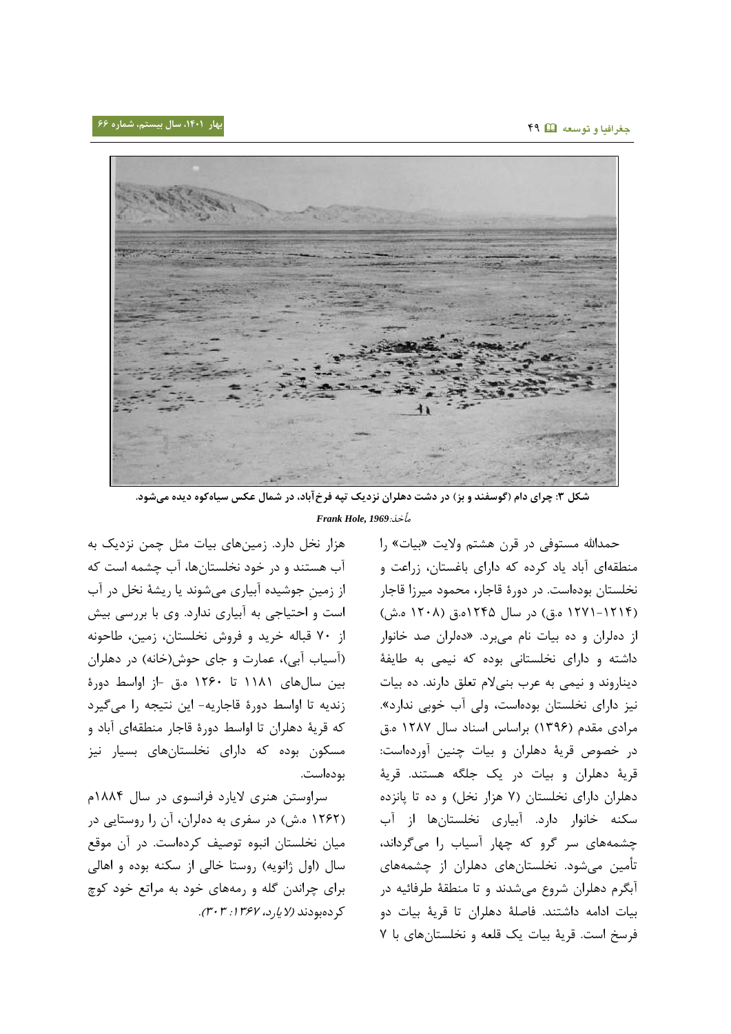



**شکل :1 چرای دام )گوسفند و بز( در دشت دهلران نزدیک تپه فرخآباد، در شمال عکس سیاهکوه دیده میشود.** *Frank Hole, 1969*:مأخذ

هزار نخل دارد. زمینهای بیات مثل چمن نزدیک به آب هستند و در خود نخلستانها، آب چشمه است که از زمین جوشیده آبیاری میشوند یا ریشۀ نخل در آب است و احتیاجی به آبیاری ندارد. وی با بررسی بیش از 38 قباله خرید و فروش نخلستان، زمین، طاحونه (آسیاب آبی)، عمارت و جای حوش(خانه) در دهلران بین سالهای 2242 تا 2138 ه.ق -از اواسط دورۀ زندیه تا اواسط دورۀ قاجاریه- این نتیجه را میگیرد که قریۀ دهلران تا اواسط دورۀ قاجار منطقهای آباد و مسکون بوده که دارای نخلستانهای بسیار نیز بودهاست.

سراوستن هنری الیارد فرانسوی در سال 2448م )2131 ه.ش( در سفری به دهلران، آن را روستایی در میان نخلستان انبوه توصیف کردهاست. در آن موقع سال (اول ژانویه) روستا خالی از سکنه بوده و اهالی برای چراندن گله و رمههای خود به مراتع خود کوچ کردهبودند (لایارد، ۱۳۶۷: ۳۰۳).

حمدالله مستوفی در قرن هشتم ولایت «بیات» را منطقهای آباد یاد کرده که دارای باغستان، زراعت و نخلستان بودهاست. در دورۀ قاجار، محمود میرزا قاجار )2132-2128 ه.ق( در سال 2183ه.ق )2184 ه.ش( از دهلران و ده بیات نام میبرد. »دهلران صد خانوار داشته و دارای نخلستانی بوده که نیمی به طایفۀ دیناروند و نیمی به عرب بنیالم تعلق دارند. ده بیات نیز دارای نخلستان بودهاست، ولی آب خوبی ندارد«. مرادی مقدم )2573( براساس اسناد سال 2143 ه.ق در خصوص قریۀ دهلران و بیات چنین آوردهاست: قریۀ دهلران و بیات در یک جلگه هستند. قریۀ دهلران دارای نخلستان (۷ هزار نخل) و ده تا پانزده سکنه خانوار دارد. آبیاری نخلستانها از آب چشمههای سر گرو که چهار آسیاب را میگرداند، تأمین میشود. نخلستانهای دهلران از چشمههای آبگرم دهلران شروع میشدند و تا منطقۀ طرفائیه در بیات ادامه داشتند. فاصلۀ دهلران تا قریۀ بیات دو فرسخ است. قریۀ بیات یک قلعه و نخلستانهای با 3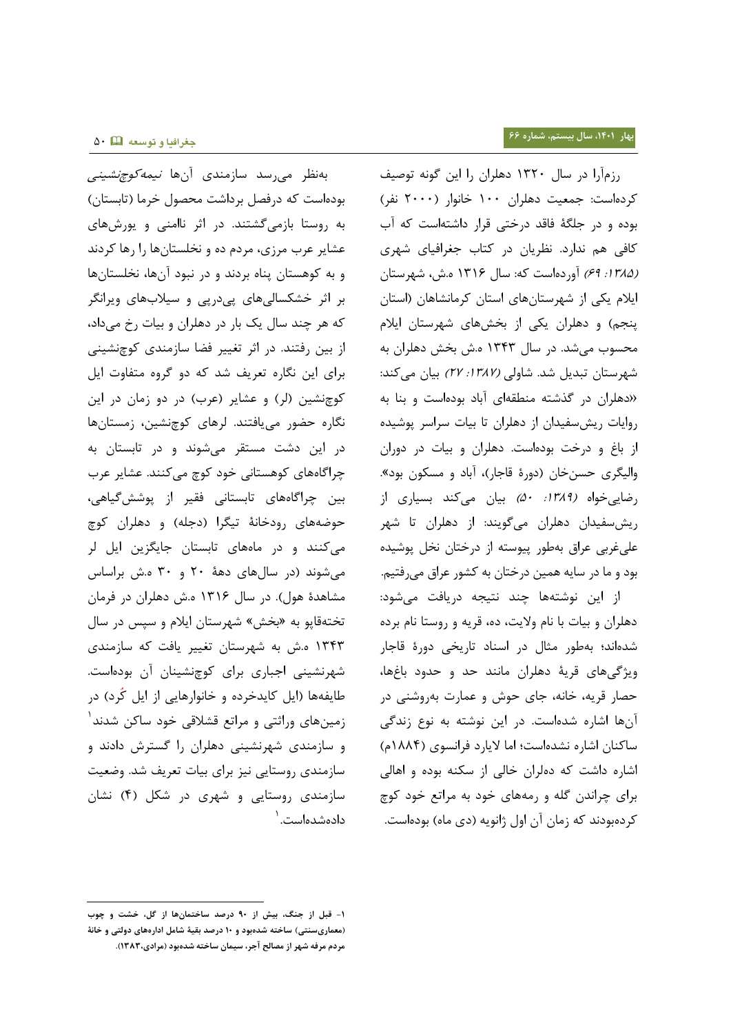## **جغرافیا و توسعه** 38

بهنظر می<sub>ا</sub>رسد سازمندی آنها *نیمهکوچنشینی* بودهاست که درفصل برداشت محصول خرما )تابستان( به روستا بازمیگشتند. در اثر ناامنی و یورشهای عشایر عرب مرزی، مردم ده و نخلستانها را رها کردند و به کوهستان پناه بردند و در نبود آنها، نخلستانها بر اثر خشکسالیهای پیدرپی و سیالبهای ویرانگر که هر چند سال یک بار در دهلران و بیات رخ میداد، از بین رفتند. در اثر تغییر فضا سازمندی کوچنشینی برای این نگاره تعریف شد که دو گروه متفاوت ایل کوچنشین (لر) و عشایر (عرب) در دو زمان در این نگاره حضور مییافتند. لرهای کوچنشین، زمستانها در این دشت مستقر میشوند و در تابستان به چراگاههای کوهستانی خود کوچ میکنند. عشایر عرب بین چراگاههای تابستانی فقیر از پوششگیاهی، حوضههای رودخانۀ تیگرا )دجله( و دهلران کوچ میکنند و در ماههای تابستان جایگزین ایل لر میشوند )در سالهای دهۀ 18 و 58 ه.ش براساس مشاهدۀ هول). در سال ۱۳۱۶ ه.ش دهلران در فرمان تختهقاپو به »بخش« شهرستان ایالم و سپس در سال 2585 ه.ش به شهرستان تغییر یافت که سازمندی شهرنشینی اجباری برای کوچنشینان آن بودهاست. طایفهها (ایل کایدخرده و خانوارهایی از ایل کُرد) در زمینهای وراثتی و مراتع قشالقی خود ساکن شدند 2 و سازمندی شهرنشینی دهلران را گسترش دادند و سازمندی روستایی نیز برای بیات تعریف شد. وضعیت سازمندی روستایی و شهری در شکل )8( نشان دادهشدهاست.<sup>۱</sup>

رزمآرا در سال 2518 دهلران را این گونه توصیف کردهاست: جمعیت دهلران ۱۰۰ خانوار (۲۰۰۰ نفر) بوده و در جلگۀ فاقد درختی قرار داشتهاست که آب کافی هم ندارد. نظریان در کتاب جغرافیای شهری ):2543 37( آوردهاست که: سال 2523 ه.ش، شهرستان ایالم یکی از شهرستانهای استان کرمانشاهان )استان پنجم) و دهلران یکی از بخشهای شهرستان ایلام محسوب میشد. در سال 2585 ه.ش بخش دهلران به شهرستان تبدیل شد. شاولی (۱۳۸۷: ۲۲) بیان میکند: »دهلران در گذشته منطقهای آباد بودهاست و بنا به روایات ریشسفیدان از دهلران تا بیات سراسر پوشیده از باغ و درخت بودهاست. دهلران و بیات در دوران والیگری حسنخان )دورۀ قاجار(، آباد و مسکون بود«. رضاییخواه ):2547 38( بیان میکند بسیاری از ریشسفیدان دهلران میگویند: از دهلران تا شهر علیغربی عراق بهطور پیوسته از درختان نخل پوشیده بود و ما در سایه همین درختان به کشور عراق میرفتیم.

از این نوشتهها چند نتیجه دریافت میشود: دهلران و بیات با نام والیت، ده، قریه و روستا نام برده شدهاند؛ بهطور مثال در اسناد تاریخی دورۀ قاجار ویژگیهای قریۀ دهلران مانند حد و حدود باغها، حصار قریه، خانه، جای حوش و عمارت بهروشنی در آنها اشاره شدهاست. در این نوشته به نوع زندگی ساکنان اشاره نشدهاست؛ اما الیارد فرانسوی )2448م( اشاره داشت که دهلران خالی از سکنه بوده و اهالی برای چراندن گله و رمههای خود به مراتع خود کوچ کردهبودند که زمان آن اول ژانویه (دی ماه) بودهاست.

l

**<sup>-1</sup> قبل از جنگ، بیش از 14 درصد ساختمانها از گل، خشت و چوب )معماریسنتی( ساخته شدهبود و 14 درصد بقیۀ شامل ادارههای دولتی و خانۀ مردم مرفه شهر از مصالح آجر، سیمان ساخته شدهبود )مرادی1131،(.**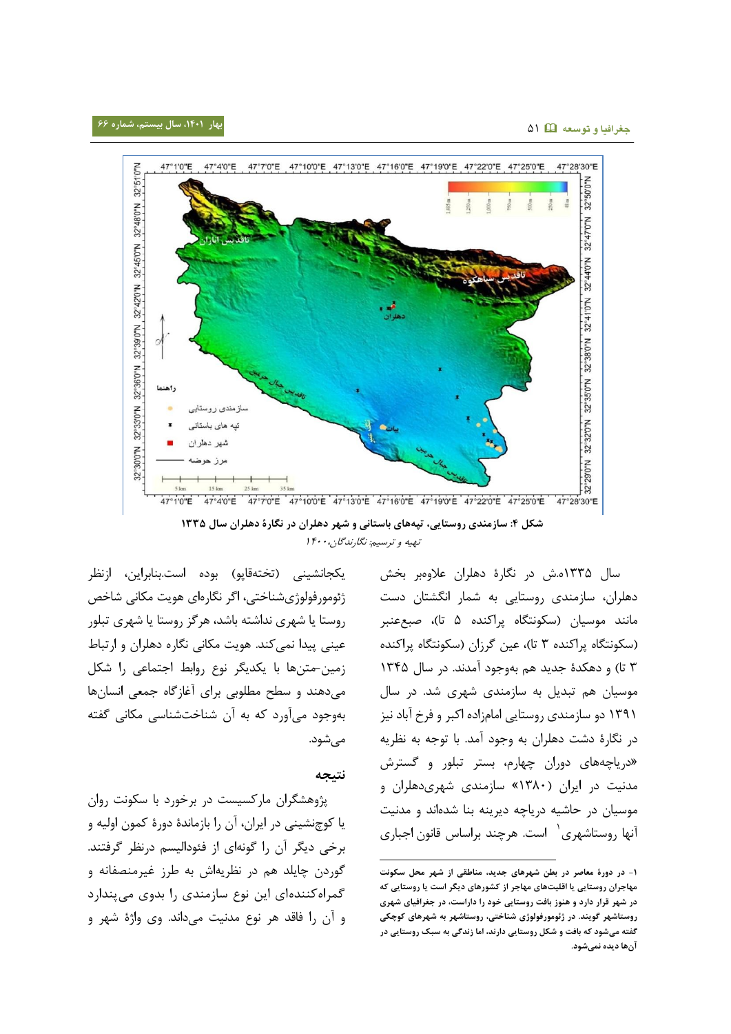

تهیه و ترسیم: نگارندگان2888،

سال 2553ه.ش در نگارۀ دهلران عالوهبر بخش دهلران، سازمندی روستایی به شمار انگشتان دست مانند موسیان )سکونتگاه پراکنده 3 تا(، صبععنبر (سکونتگاه پراکنده ۳ تا)، عین گرزان (سکونتگاه پراکنده 5 تا( و دهکدۀ جدید هم بهوجود آمدند. در سال 2583 موسیان هم تبدیل به سازمندی شهری شد. در سال 2572 دو سازمندی روستایی امامزاده اکبر و فرخ آباد نیز در نگارۀ دشت دهلران به وجود آمد. با توجه به نظریه »دریاچههای دوران چهارم، بستر تبلور و گسترش مدنیت در ایران )2548« سازمندی شهریدهلران و موسیان در حاشیه دریاچه دیرینه بنا شدهاند و مدنیت 2 آنها روستاشهری است. هرچند براساس قانون اجباری

یکجانشینی )تختهقاپو( بوده است.بنابراین، ازنظر ژئومورفولوژیشناختی، اگر نگارهای هویت مکانی شاخص روستا یا شهری نداشته باشد، هرگز روستا یا شهری تبلور عینی پیدا نمیکند. هویت مکانی نگاره دهلران و ارتباط زمین-متنها با یکدیگر نوع روابط اجتماعی را شکل میدهند و سطح مطلوبی برای آغازگاه جمعی انسانها بهوجود میآورد که به آن شناختشناسی مکانی گفته میشود.

## **نتیجه**

1

پژوهشگران مارکسیست در برخورد با سکونت روان یا کوچنشینی در ایران، آن را بازماندۀ دورۀ کمون اولیه و برخی دیگر آن را گونهای از فئودالیسم درنظر گرفتند. گوردن چایلد هم در نظریهاش به طرز غیرمنصفانه و گمراهکنندهای این نوع سازمندی را بدوی میپندارد و آن را فاقد هر نوع مدنیت میداند. وی واژۀ شهر و

**<sup>-1</sup> در دورۀ معاصر در بطن شهرهای جدید، مناطقی از شهر محل سکونت مهاجران روستایی یا اقلیتهای مهاجر از کشورهای دیگر است یا روستایی که در شهر قرار دارد و هنوز بافت روستایی خود را داراست، در جغرافیای شهری روستاشهر گویند. در ژئومورفولوژی شناختی، روستاشهر به شهرهای کوچکی گفته میشود که بافت و شکل روستایی دارند، اما زندگی به سبک روستایی در آنها دیده نمیشود.**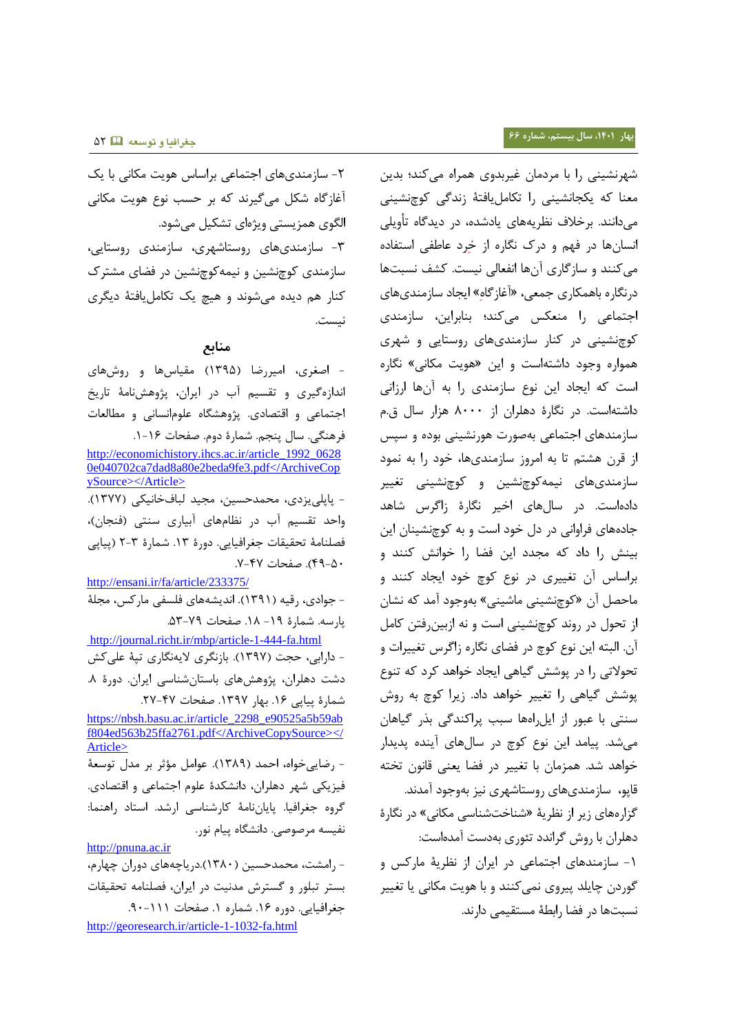-1 سازمندیهای اجتماعی براساس هویت مکانی با یک آغازگاه شکل میگیرند که بر حسب نوع هویت مکانی الگوی همزیستی ویژهای تشکیل میشود. -5 سازمندیهای روستاشهری، سازمندی روستایی، سازمندی کوچنشین و نیمهکوچنشین در فضای مشترک کنار هم دیده میشوند و هیچ یک تکاملیافتۀ دیگری نیست.

## **منابع**

- اصغری، امیررضا )2573( مقیاسها و روشهای اندازهگیری و تقسیم آب در ایران، پژوهشنامۀ تاریخ اجتماعی و اقتصادی. پژوهشگاه علومانسانی و مطالعات فرهنگی. سال پنجم. شمارۀ دوم. صفحات ١۶-١.

http://economichistory.ihcs.ac.ir/article\_1992\_0628 0e040702ca7dad8a80e2beda9fe3.pdf</ArchiveCop ySource></Article>

- پاپلی یزدی، محمدحسین، مجید لبافخانیکی (۱۳۷۷). واحد تقسیم آب در نظامهای آبیاری سنتی (فنجان)، فصلنامۀ تحقیقات جغرافیایی. دورۀ .25 شمارۀ 1-5 )پیاپی 87-38(. صفحات .3-83

http://ensani.ir/fa/article/233375/

- جوادی، رقیه )2572(. اندیشههای فلسفی مارکس، مجلۀ پارسه. شمارۀ -27 .24 صفحات .35-37 <http://journal.richt.ir/mbp/article-1-444-fa.html>

- دارابی، حجت )2573(. بازنگری الیهنگاری تپۀ علیکش دشت دهلران، پژوهشهای باستانشناسی ایران. دورۀ .4 شمارهٔ پیاپی ۱۶. بهار ۱۳۹۷. صفحات ۴۷-۲۷.

https://nbsh.basu.ac.ir/article\_2298\_e90525a5b59ab f804ed563b25ffa2761.pdf</ArchiveCopySource></ Article> - رضاییخواه، احمد )2547(. عوامل مؤثر بر مدل توسعۀ فیزیکی شهر دهلران، دانشکدۀ علوم اجتماعی و اقتصادی. گروه جغرافیا. پایاننامۀ کارشناسی ارشد. استاد راهنما: نفیسه مرصوصی. دانشگاه پیام نور.

http://pnuna.ac.ir - رامشت، محمدحسین )2548(.دریاچههای دوران چهارم، بستر تبلور و گسترش مدنیت در ایران، فصلنامه تحقیقات جغرافیایی. دوره ۱۶. شماره ۱. صفحات ۱۱۱-۹۰. <http://georesearch.ir/article-1-1032-fa.html>

**بهار ،0410 سال بیستم، شماره 66**

شهرنشینی را با مردمان غیربدوی همراه میکند؛ بدین معنا که یکجانشینی را تکاملیافتۀ زندگی کوچنشینی میدانند. برخالف نظریههای یادشده، در دیدگاه تأویلی انسانها در فهم و درک نگاره از خرد عاطفی استفاده میکنند و سازگاری آنها انفعالی نیست. کشف نسبتها درنگاره باهمکاری جمعی، » آغازگاه « ایجاد سازمندیهای اجتماعی را منعکس میکند؛ بنابراین، سازمندی کوچنشینی در کنار سازمندیهای روستایی و شهری همواره وجود داشتهاست و این »هویت مکانی« نگاره است که ایجاد این نوع سازمندی را به آنها ارزانی داشتهاست. در نگارۀ دهلران از 4888 هزار سال ق.م سازمندهای اجتماعی بهصورت هورنشینی بوده و سپس از قرن هشتم تا به امروز سازمندیها، خود را به نمود سازمندیهای نیمهکوچنشین و کوچنشینی تغییر دادهاست. در سالهای اخیر نگارۀ زاگرس شاهد جادههای فراوانی در دل خود است و به کوچنشینان این بینش را داد که مجدد این فضا را خوانش کنند و براساس آن تغییری در نوع کوچ خود ایجاد کنند و ماحصل آن «کوچنشینی ماشینی» بهوجود آمد که نشان از تحول در روند کوچنشینی است و نه ازبینرفتن کامل آن. البته این نوع کوچ در فضای نگاره زاگرس تغییرات و تحوالتی را در پوشش گیاهی ایجاد خواهد کرد که تنوع پوشش گیاهی را تغییر خواهد داد. زیرا کوچ به روش سنتی با عبور از ایلراهها سبب پراکندگی بذر گیاهان میشد. پیامد این نوع کوچ در سالهای آینده پدیدار خواهد شد. همزمان با تغییر در فضا یعنی قانون تخته قاپو، سازمندیهای روستاشهری نیز بهوجود آمدند. گزارههای زیر از نظریۀ «شناختشناسی مکانی» در نگارۀ دهلران با روش گراندد تئوری بهدست آمدهاست: -2 سازمندهای اجتماعی در ایران از نظریۀ مارکس و گوردن چایلد پیروی نمیکنند و با هویت مکانی یا تغییر نسبتها در فضا رابطۀ مستقیمی دارند.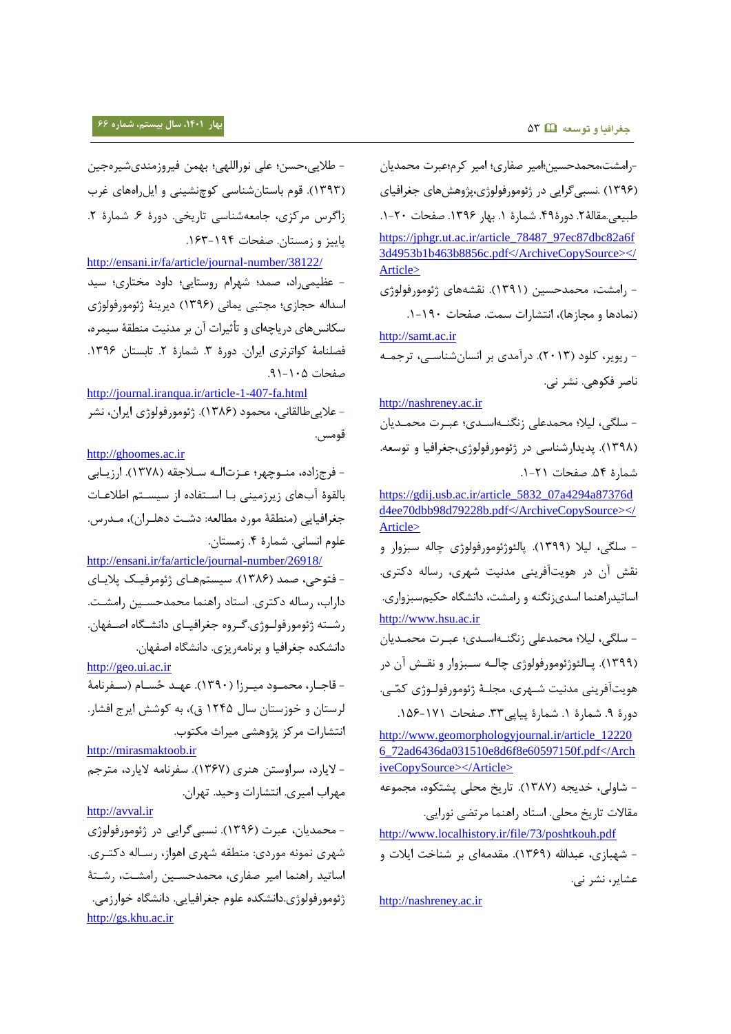- طالیی،حسن؛ علی نوراللهی؛ بهمن فیروزمندیشیرهجین )2575(. قوم باستانشناسی کوچنشینی و ایلراههای غرب زاگرس مرکزی، جامعهشناسی تاریخی. دورۀ ۶. شمارۀ ۲. پاییز و زمستان. صفحات .235-278

http://ensani.ir/fa/article/journal-number/38122/ - عظیمیراد، صمد؛ شهرام روستایی؛ داود مختاری؛ سید اسداله حجازی؛ مجتبی یمانی )2573( دیرینۀ ژئومورفولوژی سکانسهای دریاچهای و تأثیرات آن بر مدنیت منطقۀ سیمره، فصلنامۀ کواترنری ایران. دورۀ ۳. شمارۀ ۲. تابستان ۱۳۹۶. صفحات ۰۵-۹۱-۹۱.

<http://journal.iranqua.ir/article-1-407-fa.html> - عالیی طالقانی، محمود ) 2543 (. ژئومورفولوژی ایران، نشر قومس.

http://ghoomes.ac.ir

- فرج زاده، منروچهر ؛ عرزت الره سرالجقه ) 2534 (. ارزیرابی بالقوهٔ آبهای زیرزمینی بـا اسـتفاده از سیسـتم اطلاعـات جغرافیایی (منطقۀ مورد مطالعه: دشت دهلران)، مـدرس. علوم انسانی. شمارۀ ۴. زمستان.

<http://ensani.ir/fa/article/journal-number/26918/> - فتوحی، صمد ) 2543 (. سیستم هرای ژئومرفیرک پالیرای داراب، رساله دکتری. استاد راهنما محمدحسرین رامشرت . رشته ژئومورفولـوژی.گـروه جغرافیـای دانشـگاه اصـفهان. دانشکده جغرافیا و برنامه یزی. دانشگاه اصفهان.

http://geo.ui.ac.ir - قاجـار، محمـود میـرزا (١٣٩٠). عهـد حُسـام (سـفرنامۀ لرستان و خوزستان سال 2183 ق( ، به کوشش ایرج افشار. انتشارات مرکز پژوهشی میراث مکتوب. http://mirasmaktoob.ir

- الیارد، سراوستن هنری ) 2533 (. سفرنامه الیا رد، مترجم مهراب امیری. انتشارات وحید. تهران.

http://avval.ir - محمدیان، عبرت )3 257 (. نسبی گرایی در ژئومورفولوژی شهری نمونه موردی: منطقه شهری اهواز، رسراله دکترری . اساتید راهنما امیر صفاری، محمدحسـین رامشـت، رشـتۀ ژئومورفولوژی. دانشکده علوم جغرافیایی. دانشگاه خو ارزمی. http://gs.khu.ac.ir

-رامشت،محمدحسین؛امیر صفاری؛ امیر کرم؛عبرت محمدیان )2573( .نسبیگرایی در ژئومورفولوژی،پژوهشهای جغرافیای طبیعی.مقالۀ ۲. دورۀ۴۹. شمارۀ ۱. بهار ۱۳۹۶. صفحات ٢٠-١. https://jphgr.ut.ac.ir/article\_78487\_97ec87dbc82a6f 3d4953b1b463b8856c.pdf</ArchiveCopySource></ Article> - رامشت، محمدحسین )2572(. نقشههای ژئومورفولوژی (نمادها و مجازها)، انتشارات سمت. صفحات ١٩٠-١. http://samt.ac.ir - ریویر، کلود ) 1825 (. درآمدی بر انسان شناسری، ترجمره ناصر فکوهی. نشر نی. http://nashreney.ac.ir - سلگی، لیال؛ محمدعلی زنگنره اسردی ؛ عبررت محمردیان ) 2574( . پدیدارشناسی در ژئومورفولوژی،جغرافیا و توسعه. شمارة ۵۴. صفحات ۲۱-۱. [https://gdij.usb.ac.ir/article\\_5832\\_07a4294a87376d](https://gdij.usb.ac.ir/article_5832_07a4294a87376dd4ee70dbb98d79228b.pdf%3c/ArchiveCopySource%3e%3c/Article) [d4ee70dbb98d79228b.pdf</ArchiveCopySource></](https://gdij.usb.ac.ir/article_5832_07a4294a87376dd4ee70dbb98d79228b.pdf%3c/ArchiveCopySource%3e%3c/Article) [Article>](https://gdij.usb.ac.ir/article_5832_07a4294a87376dd4ee70dbb98d79228b.pdf%3c/ArchiveCopySource%3e%3c/Article) - سلگی، لیال )2577(. پالئوژئومورفولوژی چاله سبزوار و نقش آن در هویتآفرینی مدنیت شهری، رساله دکتری. اساتیدراهنما اسدیزنگنه و رامشت، دانشگاه حکیمسبزواری. http://www.hsu.ac.ir - سلگی، لیال؛ محمدعلی زنگنره اسردی ؛ عبررت محمردیان ) 2577( . پرالئوژئومورفولوژی چالره سربزوار و نقرش آن در هویتآفرینی مدنیت شـهری، مجلـهٔ ژئومورفولـوژی کمّـی. دورهٔ ۹. شمارهٔ ۱. شمارهٔ پیاپی ۳۳. صفحات ۱۷۱-۱۵۶. http://www.geomorphologyjournal.ir/article\_12220 6\_72ad6436da031510e8d6f8e60597150f.pdf</Arch iveCopySource></Article> - شاولی، خدیجه )2543(. تاریخ محلی پشتکوه، مجموعه مقاالت تاریخ محلی. استاد راهنما مرتضی نورایی. http://www.localhistory.ir/file/73/poshtkouh.pdf - شهبازی، عبداهلل )2537(. مقدمهای بر شناخت ایالت و عشایر، نشر نی.

http://nashreney.ac.ir